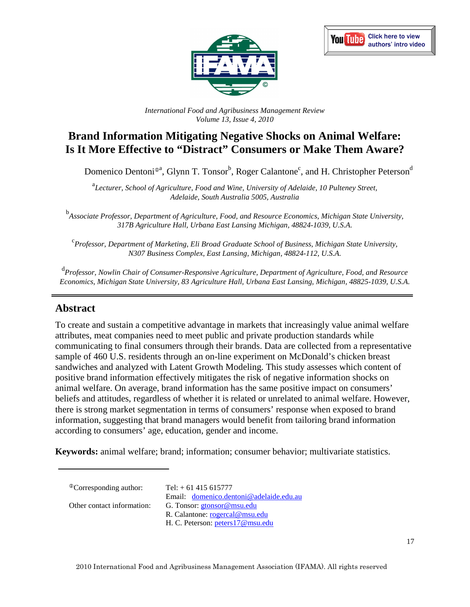



*International Food and Agribusiness Management Review Volume 13, Issue 4, 2010*

# **Brand Information Mitigating Negative Shocks on Animal Welfare: Is It More Effective to "Distract" Consumers or Make Them Aware?**

Domenico Dentoni<sup>®a</sup>, Glynn T. Tonsor<sup>b</sup>, Roger Calantone<sup>c</sup>, and H. Christopher Peterson<sup>d</sup>

<sup>a</sup>Lecturer, School of Agriculture, Food and Wine, University of Adelaide, 10 Pulteney Street, *Adelaide, South Australia 5005, Australia* 

<sup>b</sup><br>Associate Professor, Department of Agriculture, Food, and Resource Economics, Michigan State University, *317B Agriculture Hall, Urbana East Lansing Michigan, 48824-1039, U.S.A.* 

c *Professor, Department of Marketing, Eli Broad Graduate School of Business, Michigan State University, N307 Business Complex, East Lansing, Michigan, 48824-112, U.S.A.* 

d *Professor, Nowlin Chair of Consumer-Responsive Agriculture, Department of Agriculture, Food, and Resource Economics, Michigan State University, 83 Agriculture Hall, Urbana East Lansing, Michigan, 48825-1039, U.S.A.* 

# **Abstract**

To create and sustain a competitive advantage in markets that increasingly value animal welfare attributes, meat companies need to meet public and private production standards while communicating to final consumers through their brands. Data are collected from a representative sample of 460 U.S. residents through an on-line experiment on McDonald's chicken breast sandwiches and analyzed with Latent Growth Modeling. This study assesses which content of positive brand information effectively mitigates the risk of negative information shocks on animal welfare. On average, brand information has the same positive impact on consumers' beliefs and attitudes, regardless of whether it is related or unrelated to animal welfare. However, there is strong market segmentation in terms of consumers' response when exposed to brand information, suggesting that brand managers would benefit from tailoring brand information according to consumers' age, education, gender and income.

**Keywords:** animal welfare; brand; information; consumer behavior; multivariate statistics.

Email: domenico.dentoni@adelaide.edu.au

Other contact information: G. Tonsor: gtonsor@msu.edu

 $^{\circ}$ Corresponding author: Tel: + 61 415 615777

R. Calantone: rogercal@msu.edu

H. C. Peterson: peters17@msu.edu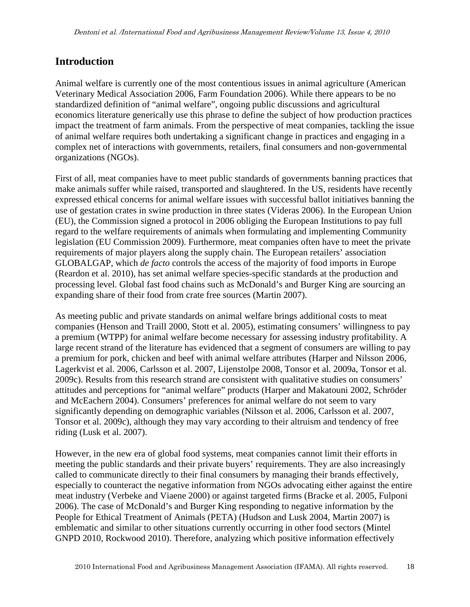# **Introduction**

Animal welfare is currently one of the most contentious issues in animal agriculture (American Veterinary Medical Association 2006, Farm Foundation 2006). While there appears to be no standardized definition of "animal welfare", ongoing public discussions and agricultural economics literature generically use this phrase to define the subject of how production practices impact the treatment of farm animals. From the perspective of meat companies, tackling the issue of animal welfare requires both undertaking a significant change in practices and engaging in a complex net of interactions with governments, retailers, final consumers and non-governmental organizations (NGOs).

First of all, meat companies have to meet public standards of governments banning practices that make animals suffer while raised, transported and slaughtered. In the US, residents have recently expressed ethical concerns for animal welfare issues with successful ballot initiatives banning the use of gestation crates in swine production in three states (Videras 2006). In the European Union (EU), the Commission signed a protocol in 2006 obliging the European Institutions to pay full regard to the welfare requirements of animals when formulating and implementing Community legislation (EU Commission 2009). Furthermore, meat companies often have to meet the private requirements of major players along the supply chain. The European retailers' association GLOBALGAP, which *de facto* controls the access of the majority of food imports in Europe (Reardon et al. 2010), has set animal welfare species-specific standards at the production and processing level. Global fast food chains such as McDonald's and Burger King are sourcing an expanding share of their food from crate free sources (Martin 2007).

As meeting public and private standards on animal welfare brings additional costs to meat companies (Henson and Traill 2000, Stott et al. 2005), estimating consumers' willingness to pay a premium (WTPP) for animal welfare become necessary for assessing industry profitability. A large recent strand of the literature has evidenced that a segment of consumers are willing to pay a premium for pork, chicken and beef with animal welfare attributes (Harper and Nilsson 2006, Lagerkvist et al. 2006, Carlsson et al. 2007, Lijenstolpe 2008, Tonsor et al. 2009a, Tonsor et al. 2009c). Results from this research strand are consistent with qualitative studies on consumers' attitudes and perceptions for "animal welfare" products (Harper and Makatouni 2002, Schröder and McEachern 2004). Consumers' preferences for animal welfare do not seem to vary significantly depending on demographic variables (Nilsson et al. 2006, Carlsson et al. 2007, Tonsor et al. 2009c), although they may vary according to their altruism and tendency of free riding (Lusk et al. 2007).

However, in the new era of global food systems, meat companies cannot limit their efforts in meeting the public standards and their private buyers' requirements. They are also increasingly called to communicate directly to their final consumers by managing their brands effectively, especially to counteract the negative information from NGOs advocating either against the entire meat industry (Verbeke and Viaene 2000) or against targeted firms (Bracke et al. 2005, Fulponi 2006). The case of McDonald's and Burger King responding to negative information by the People for Ethical Treatment of Animals (PETA) (Hudson and Lusk 2004, Martin 2007) is emblematic and similar to other situations currently occurring in other food sectors (Mintel GNPD 2010, Rockwood 2010). Therefore, analyzing which positive information effectively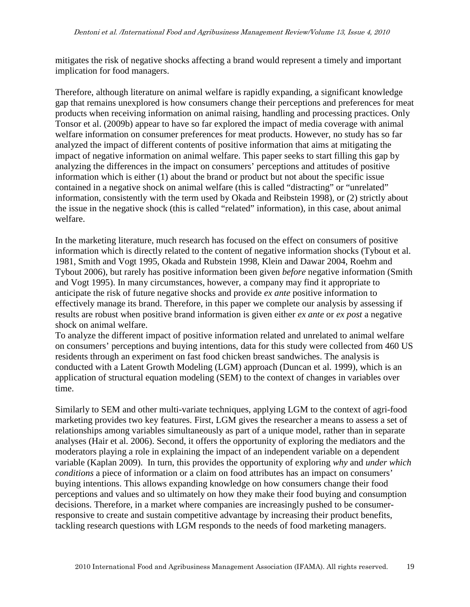mitigates the risk of negative shocks affecting a brand would represent a timely and important implication for food managers.

Therefore, although literature on animal welfare is rapidly expanding, a significant knowledge gap that remains unexplored is how consumers change their perceptions and preferences for meat products when receiving information on animal raising, handling and processing practices. Only Tonsor et al. (2009b) appear to have so far explored the impact of media coverage with animal welfare information on consumer preferences for meat products. However, no study has so far analyzed the impact of different contents of positive information that aims at mitigating the impact of negative information on animal welfare. This paper seeks to start filling this gap by analyzing the differences in the impact on consumers' perceptions and attitudes of positive information which is either (1) about the brand or product but not about the specific issue contained in a negative shock on animal welfare (this is called "distracting" or "unrelated" information, consistently with the term used by Okada and Reibstein 1998), or (2) strictly about the issue in the negative shock (this is called "related" information), in this case, about animal welfare.

In the marketing literature, much research has focused on the effect on consumers of positive information which is directly related to the content of negative information shocks (Tybout et al. 1981, Smith and Vogt 1995, Okada and Rubstein 1998, Klein and Dawar 2004, Roehm and Tybout 2006), but rarely has positive information been given *before* negative information (Smith and Vogt 1995). In many circumstances, however, a company may find it appropriate to anticipate the risk of future negative shocks and provide *ex ante* positive information to effectively manage its brand. Therefore, in this paper we complete our analysis by assessing if results are robust when positive brand information is given either *ex ante* or *ex post* a negative shock on animal welfare.

To analyze the different impact of positive information related and unrelated to animal welfare on consumers' perceptions and buying intentions, data for this study were collected from 460 US residents through an experiment on fast food chicken breast sandwiches. The analysis is conducted with a Latent Growth Modeling (LGM) approach (Duncan et al. 1999), which is an application of structural equation modeling (SEM) to the context of changes in variables over time.

Similarly to SEM and other multi-variate techniques, applying LGM to the context of agri-food marketing provides two key features. First, LGM gives the researcher a means to assess a set of relationships among variables simultaneously as part of a unique model, rather than in separate analyses (Hair et al. 2006). Second, it offers the opportunity of exploring the mediators and the moderators playing a role in explaining the impact of an independent variable on a dependent variable (Kaplan 2009). In turn, this provides the opportunity of exploring *why* and *under which conditions* a piece of information or a claim on food attributes has an impact on consumers' buying intentions. This allows expanding knowledge on how consumers change their food perceptions and values and so ultimately on how they make their food buying and consumption decisions. Therefore, in a market where companies are increasingly pushed to be consumerresponsive to create and sustain competitive advantage by increasing their product benefits, tackling research questions with LGM responds to the needs of food marketing managers.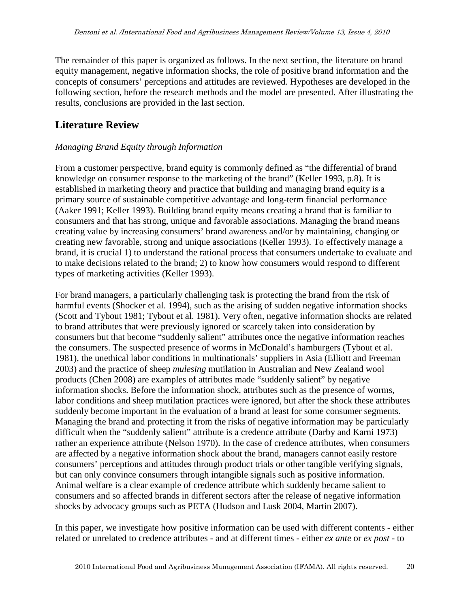The remainder of this paper is organized as follows. In the next section, the literature on brand equity management, negative information shocks, the role of positive brand information and the concepts of consumers' perceptions and attitudes are reviewed. Hypotheses are developed in the following section, before the research methods and the model are presented. After illustrating the results, conclusions are provided in the last section.

# **Literature Review**

## *Managing Brand Equity through Information*

From a customer perspective, brand equity is commonly defined as "the differential of brand knowledge on consumer response to the marketing of the brand" (Keller 1993, p.8). It is established in marketing theory and practice that building and managing brand equity is a primary source of sustainable competitive advantage and long-term financial performance (Aaker 1991; Keller 1993). Building brand equity means creating a brand that is familiar to consumers and that has strong, unique and favorable associations. Managing the brand means creating value by increasing consumers' brand awareness and/or by maintaining, changing or creating new favorable, strong and unique associations (Keller 1993). To effectively manage a brand, it is crucial 1) to understand the rational process that consumers undertake to evaluate and to make decisions related to the brand; 2) to know how consumers would respond to different types of marketing activities (Keller 1993).

For brand managers, a particularly challenging task is protecting the brand from the risk of harmful events (Shocker et al. 1994), such as the arising of sudden negative information shocks (Scott and Tybout 1981; Tybout et al. 1981). Very often, negative information shocks are related to brand attributes that were previously ignored or scarcely taken into consideration by consumers but that become "suddenly salient" attributes once the negative information reaches the consumers. The suspected presence of worms in McDonald's hamburgers (Tybout et al. 1981), the unethical labor conditions in multinationals' suppliers in Asia (Elliott and Freeman 2003) and the practice of sheep *mulesing* mutilation in Australian and New Zealand wool products (Chen 2008) are examples of attributes made "suddenly salient" by negative information shocks. Before the information shock, attributes such as the presence of worms, labor conditions and sheep mutilation practices were ignored, but after the shock these attributes suddenly become important in the evaluation of a brand at least for some consumer segments. Managing the brand and protecting it from the risks of negative information may be particularly difficult when the "suddenly salient" attribute is a credence attribute (Darby and Karni 1973) rather an experience attribute (Nelson 1970). In the case of credence attributes, when consumers are affected by a negative information shock about the brand, managers cannot easily restore consumers' perceptions and attitudes through product trials or other tangible verifying signals, but can only convince consumers through intangible signals such as positive information. Animal welfare is a clear example of credence attribute which suddenly became salient to consumers and so affected brands in different sectors after the release of negative information shocks by advocacy groups such as PETA (Hudson and Lusk 2004, Martin 2007).

In this paper, we investigate how positive information can be used with different contents - either related or unrelated to credence attributes - and at different times - either *ex ante* or *ex post* - to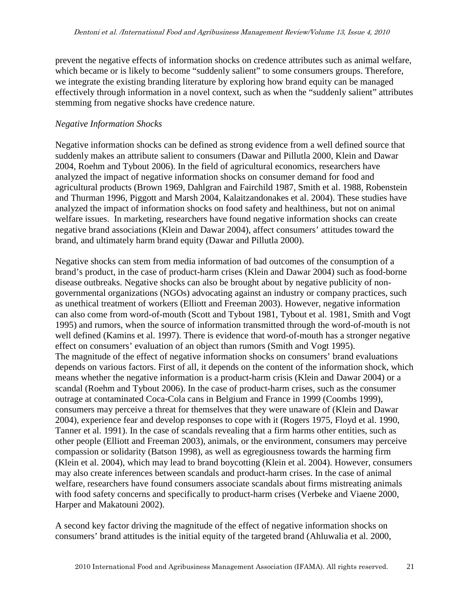prevent the negative effects of information shocks on credence attributes such as animal welfare, which became or is likely to become "suddenly salient" to some consumers groups. Therefore, we integrate the existing branding literature by exploring how brand equity can be managed effectively through information in a novel context, such as when the "suddenly salient" attributes stemming from negative shocks have credence nature.

#### *Negative Information Shocks*

Negative information shocks can be defined as strong evidence from a well defined source that suddenly makes an attribute salient to consumers (Dawar and Pillutla 2000, Klein and Dawar 2004, Roehm and Tybout 2006). In the field of agricultural economics, researchers have analyzed the impact of negative information shocks on consumer demand for food and agricultural products (Brown 1969, Dahlgran and Fairchild 1987, Smith et al. 1988, Robenstein and Thurman 1996, Piggott and Marsh 2004, Kalaitzandonakes et al. 2004). These studies have analyzed the impact of information shocks on food safety and healthiness, but not on animal welfare issues. In marketing, researchers have found negative information shocks can create negative brand associations (Klein and Dawar 2004), affect consumers' attitudes toward the brand, and ultimately harm brand equity (Dawar and Pillutla 2000).

Negative shocks can stem from media information of bad outcomes of the consumption of a brand's product, in the case of product-harm crises (Klein and Dawar 2004) such as food-borne disease outbreaks. Negative shocks can also be brought about by negative publicity of nongovernmental organizations (NGOs) advocating against an industry or company practices, such as unethical treatment of workers (Elliott and Freeman 2003). However, negative information can also come from word-of-mouth (Scott and Tybout 1981, Tybout et al. 1981, Smith and Vogt 1995) and rumors, when the source of information transmitted through the word-of-mouth is not well defined (Kamins et al. 1997). There is evidence that word-of-mouth has a stronger negative effect on consumers' evaluation of an object than rumors (Smith and Vogt 1995). The magnitude of the effect of negative information shocks on consumers' brand evaluations depends on various factors. First of all, it depends on the content of the information shock, which means whether the negative information is a product-harm crisis (Klein and Dawar 2004) or a scandal (Roehm and Tybout 2006). In the case of product-harm crises, such as the consumer outrage at contaminated Coca-Cola cans in Belgium and France in 1999 (Coombs 1999), consumers may perceive a threat for themselves that they were unaware of (Klein and Dawar 2004), experience fear and develop responses to cope with it (Rogers 1975, Floyd et al. 1990, Tanner et al. 1991). In the case of scandals revealing that a firm harms other entities, such as other people (Elliott and Freeman 2003), animals, or the environment, consumers may perceive compassion or solidarity (Batson 1998), as well as egregiousness towards the harming firm (Klein et al. 2004), which may lead to brand boycotting (Klein et al. 2004). However, consumers may also create inferences between scandals and product-harm crises. In the case of animal welfare, researchers have found consumers associate scandals about firms mistreating animals with food safety concerns and specifically to product-harm crises (Verbeke and Viaene 2000, Harper and Makatouni 2002).

A second key factor driving the magnitude of the effect of negative information shocks on consumers' brand attitudes is the initial equity of the targeted brand (Ahluwalia et al. 2000,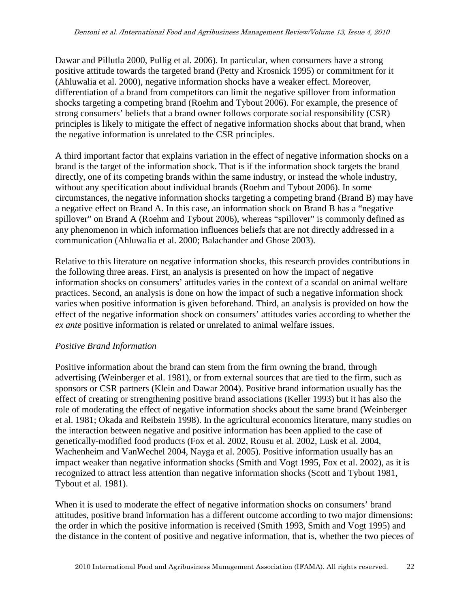Dawar and Pillutla 2000, Pullig et al. 2006). In particular, when consumers have a strong positive attitude towards the targeted brand (Petty and Krosnick 1995) or commitment for it (Ahluwalia et al. 2000), negative information shocks have a weaker effect. Moreover, differentiation of a brand from competitors can limit the negative spillover from information shocks targeting a competing brand (Roehm and Tybout 2006). For example, the presence of strong consumers' beliefs that a brand owner follows corporate social responsibility (CSR) principles is likely to mitigate the effect of negative information shocks about that brand, when the negative information is unrelated to the CSR principles.

A third important factor that explains variation in the effect of negative information shocks on a brand is the target of the information shock. That is if the information shock targets the brand directly, one of its competing brands within the same industry, or instead the whole industry, without any specification about individual brands (Roehm and Tybout 2006). In some circumstances, the negative information shocks targeting a competing brand (Brand B) may have a negative effect on Brand A. In this case, an information shock on Brand B has a "negative spillover" on Brand A (Roehm and Tybout 2006), whereas "spillover" is commonly defined as any phenomenon in which information influences beliefs that are not directly addressed in a communication (Ahluwalia et al. 2000; Balachander and Ghose 2003).

Relative to this literature on negative information shocks, this research provides contributions in the following three areas. First, an analysis is presented on how the impact of negative information shocks on consumers' attitudes varies in the context of a scandal on animal welfare practices. Second, an analysis is done on how the impact of such a negative information shock varies when positive information is given beforehand. Third, an analysis is provided on how the effect of the negative information shock on consumers' attitudes varies according to whether the *ex ante* positive information is related or unrelated to animal welfare issues.

## *Positive Brand Information*

Positive information about the brand can stem from the firm owning the brand, through advertising (Weinberger et al. 1981), or from external sources that are tied to the firm, such as sponsors or CSR partners (Klein and Dawar 2004). Positive brand information usually has the effect of creating or strengthening positive brand associations (Keller 1993) but it has also the role of moderating the effect of negative information shocks about the same brand (Weinberger et al. 1981; Okada and Reibstein 1998). In the agricultural economics literature, many studies on the interaction between negative and positive information has been applied to the case of genetically-modified food products (Fox et al. 2002, Rousu et al. 2002, Lusk et al. 2004, Wachenheim and VanWechel 2004, Nayga et al. 2005). Positive information usually has an impact weaker than negative information shocks (Smith and Vogt 1995, Fox et al. 2002), as it is recognized to attract less attention than negative information shocks (Scott and Tybout 1981, Tybout et al. 1981).

When it is used to moderate the effect of negative information shocks on consumers' brand attitudes, positive brand information has a different outcome according to two major dimensions: the order in which the positive information is received (Smith 1993, Smith and Vogt 1995) and the distance in the content of positive and negative information, that is, whether the two pieces of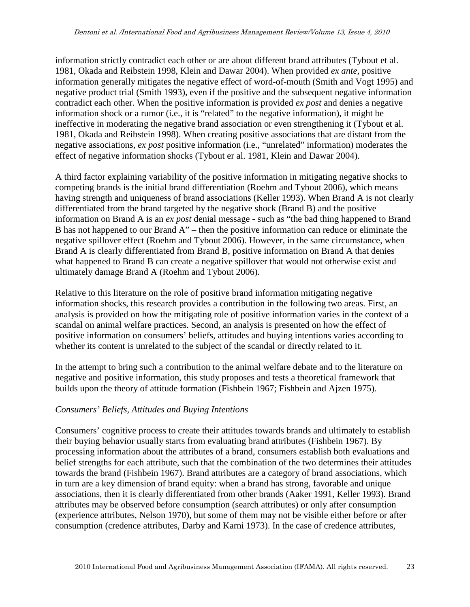information strictly contradict each other or are about different brand attributes (Tybout et al. 1981, Okada and Reibstein 1998, Klein and Dawar 2004). When provided *ex ante*, positive information generally mitigates the negative effect of word-of-mouth (Smith and Vogt 1995) and negative product trial (Smith 1993), even if the positive and the subsequent negative information contradict each other. When the positive information is provided *ex post* and denies a negative information shock or a rumor (i.e., it is "related" to the negative information), it might be ineffective in moderating the negative brand association or even strengthening it (Tybout et al. 1981, Okada and Reibstein 1998). When creating positive associations that are distant from the negative associations, *ex post* positive information (i.e., "unrelated" information) moderates the effect of negative information shocks (Tybout er al. 1981, Klein and Dawar 2004).

A third factor explaining variability of the positive information in mitigating negative shocks to competing brands is the initial brand differentiation (Roehm and Tybout 2006), which means having strength and uniqueness of brand associations (Keller 1993). When Brand A is not clearly differentiated from the brand targeted by the negative shock (Brand B) and the positive information on Brand A is an *ex post* denial message - such as "the bad thing happened to Brand B has not happened to our Brand A" – then the positive information can reduce or eliminate the negative spillover effect (Roehm and Tybout 2006). However, in the same circumstance, when Brand A is clearly differentiated from Brand B, positive information on Brand A that denies what happened to Brand B can create a negative spillover that would not otherwise exist and ultimately damage Brand A (Roehm and Tybout 2006).

Relative to this literature on the role of positive brand information mitigating negative information shocks, this research provides a contribution in the following two areas. First, an analysis is provided on how the mitigating role of positive information varies in the context of a scandal on animal welfare practices. Second, an analysis is presented on how the effect of positive information on consumers' beliefs, attitudes and buying intentions varies according to whether its content is unrelated to the subject of the scandal or directly related to it.

In the attempt to bring such a contribution to the animal welfare debate and to the literature on negative and positive information, this study proposes and tests a theoretical framework that builds upon the theory of attitude formation (Fishbein 1967; Fishbein and Ajzen 1975).

# *Consumers' Beliefs, Attitudes and Buying Intentions*

Consumers' cognitive process to create their attitudes towards brands and ultimately to establish their buying behavior usually starts from evaluating brand attributes (Fishbein 1967). By processing information about the attributes of a brand, consumers establish both evaluations and belief strengths for each attribute, such that the combination of the two determines their attitudes towards the brand (Fishbein 1967). Brand attributes are a category of brand associations, which in turn are a key dimension of brand equity: when a brand has strong, favorable and unique associations, then it is clearly differentiated from other brands (Aaker 1991, Keller 1993). Brand attributes may be observed before consumption (search attributes) or only after consumption (experience attributes, Nelson 1970), but some of them may not be visible either before or after consumption (credence attributes, Darby and Karni 1973). In the case of credence attributes,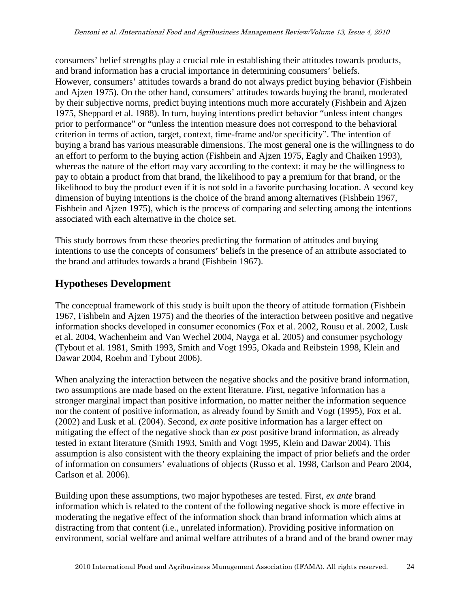consumers' belief strengths play a crucial role in establishing their attitudes towards products, and brand information has a crucial importance in determining consumers' beliefs. However, consumers' attitudes towards a brand do not always predict buying behavior (Fishbein and Ajzen 1975). On the other hand, consumers' attitudes towards buying the brand, moderated by their subjective norms, predict buying intentions much more accurately (Fishbein and Ajzen 1975, Sheppard et al. 1988). In turn, buying intentions predict behavior "unless intent changes prior to performance" or "unless the intention measure does not correspond to the behavioral criterion in terms of action, target, context, time-frame and/or specificity". The intention of buying a brand has various measurable dimensions. The most general one is the willingness to do an effort to perform to the buying action (Fishbein and Ajzen 1975, Eagly and Chaiken 1993), whereas the nature of the effort may vary according to the context: it may be the willingness to pay to obtain a product from that brand, the likelihood to pay a premium for that brand, or the likelihood to buy the product even if it is not sold in a favorite purchasing location. A second key dimension of buying intentions is the choice of the brand among alternatives (Fishbein 1967, Fishbein and Ajzen 1975), which is the process of comparing and selecting among the intentions associated with each alternative in the choice set.

This study borrows from these theories predicting the formation of attitudes and buying intentions to use the concepts of consumers' beliefs in the presence of an attribute associated to the brand and attitudes towards a brand (Fishbein 1967).

# **Hypotheses Development**

The conceptual framework of this study is built upon the theory of attitude formation (Fishbein 1967, Fishbein and Ajzen 1975) and the theories of the interaction between positive and negative information shocks developed in consumer economics (Fox et al. 2002, Rousu et al. 2002, Lusk et al. 2004, Wachenheim and Van Wechel 2004, Nayga et al. 2005) and consumer psychology (Tybout et al. 1981, Smith 1993, Smith and Vogt 1995, Okada and Reibstein 1998, Klein and Dawar 2004, Roehm and Tybout 2006).

When analyzing the interaction between the negative shocks and the positive brand information, two assumptions are made based on the extent literature. First, negative information has a stronger marginal impact than positive information, no matter neither the information sequence nor the content of positive information, as already found by Smith and Vogt (1995), Fox et al. (2002) and Lusk et al. (2004). Second, *ex ante* positive information has a larger effect on mitigating the effect of the negative shock than *ex post* positive brand information, as already tested in extant literature (Smith 1993, Smith and Vogt 1995, Klein and Dawar 2004). This assumption is also consistent with the theory explaining the impact of prior beliefs and the order of information on consumers' evaluations of objects (Russo et al. 1998, Carlson and Pearo 2004, Carlson et al. 2006).

Building upon these assumptions, two major hypotheses are tested. First, *ex ante* brand information which is related to the content of the following negative shock is more effective in moderating the negative effect of the information shock than brand information which aims at distracting from that content (i.e., unrelated information). Providing positive information on environment, social welfare and animal welfare attributes of a brand and of the brand owner may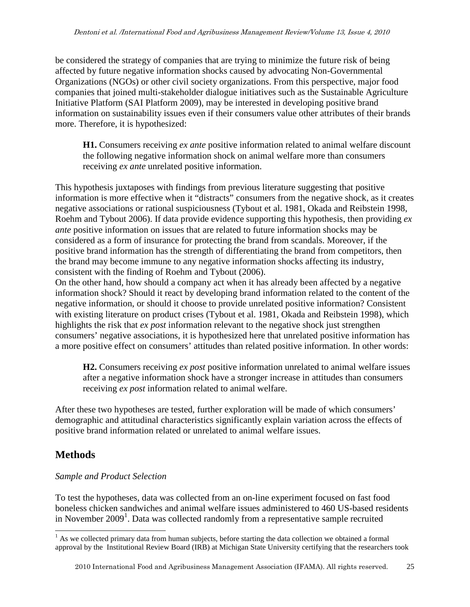be considered the strategy of companies that are trying to minimize the future risk of being affected by future negative information shocks caused by advocating Non-Governmental Organizations (NGOs) or other civil society organizations. From this perspective, major food companies that joined multi-stakeholder dialogue initiatives such as the Sustainable Agriculture Initiative Platform (SAI Platform 2009), may be interested in developing positive brand information on sustainability issues even if their consumers value other attributes of their brands more. Therefore, it is hypothesized:

**H1.** Consumers receiving *ex ante* positive information related to animal welfare discount the following negative information shock on animal welfare more than consumers receiving *ex ante* unrelated positive information.

This hypothesis juxtaposes with findings from previous literature suggesting that positive information is more effective when it "distracts" consumers from the negative shock, as it creates negative associations or rational suspiciousness (Tybout et al. 1981, Okada and Reibstein 1998, Roehm and Tybout 2006). If data provide evidence supporting this hypothesis, then providing *ex ante* positive information on issues that are related to future information shocks may be considered as a form of insurance for protecting the brand from scandals. Moreover, if the positive brand information has the strength of differentiating the brand from competitors, then the brand may become immune to any negative information shocks affecting its industry, consistent with the finding of Roehm and Tybout (2006).

On the other hand, how should a company act when it has already been affected by a negative information shock? Should it react by developing brand information related to the content of the negative information, or should it choose to provide unrelated positive information? Consistent with existing literature on product crises (Tybout et al. 1981, Okada and Reibstein 1998), which highlights the risk that *ex post* information relevant to the negative shock just strengthen consumers' negative associations, it is hypothesized here that unrelated positive information has a more positive effect on consumers' attitudes than related positive information. In other words:

**H2.** Consumers receiving *ex post* positive information unrelated to animal welfare issues after a negative information shock have a stronger increase in attitudes than consumers receiving *ex post* information related to animal welfare.

After these two hypotheses are tested, further exploration will be made of which consumers' demographic and attitudinal characteristics significantly explain variation across the effects of positive brand information related or unrelated to animal welfare issues.

# **Methods**

# *Sample and Product Selection*

To test the hypotheses, data was collected from an on-line experiment focused on fast food boneless chicken sandwiches and animal welfare issues administered to 460 US-based residents in November  $2009<sup>1</sup>$ . Data was collected randomly from a representative sample recruited

<sup>&</sup>lt;sup>1</sup> As we collected primary data from human subjects, before starting the data collection we obtained a formal approval by the Institutional Review Board (IRB) at Michigan State University certifying that the researchers took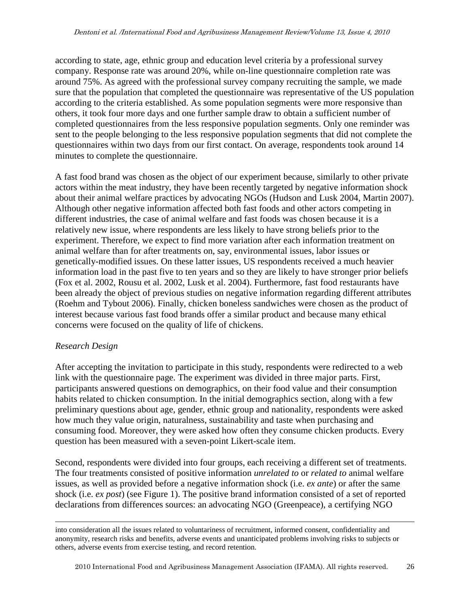according to state, age, ethnic group and education level criteria by a professional survey company. Response rate was around 20%, while on-line questionnaire completion rate was around 75%. As agreed with the professional survey company recruiting the sample, we made sure that the population that completed the questionnaire was representative of the US population according to the criteria established. As some population segments were more responsive than others, it took four more days and one further sample draw to obtain a sufficient number of completed questionnaires from the less responsive population segments. Only one reminder was sent to the people belonging to the less responsive population segments that did not complete the questionnaires within two days from our first contact. On average, respondents took around 14 minutes to complete the questionnaire.

A fast food brand was chosen as the object of our experiment because, similarly to other private actors within the meat industry, they have been recently targeted by negative information shock about their animal welfare practices by advocating NGOs (Hudson and Lusk 2004, Martin 2007). Although other negative information affected both fast foods and other actors competing in different industries, the case of animal welfare and fast foods was chosen because it is a relatively new issue, where respondents are less likely to have strong beliefs prior to the experiment. Therefore, we expect to find more variation after each information treatment on animal welfare than for after treatments on, say, environmental issues, labor issues or genetically-modified issues. On these latter issues, US respondents received a much heavier information load in the past five to ten years and so they are likely to have stronger prior beliefs (Fox et al. 2002, Rousu et al. 2002, Lusk et al. 2004). Furthermore, fast food restaurants have been already the object of previous studies on negative information regarding different attributes (Roehm and Tybout 2006). Finally, chicken boneless sandwiches were chosen as the product of interest because various fast food brands offer a similar product and because many ethical concerns were focused on the quality of life of chickens.

## *Research Design*

After accepting the invitation to participate in this study, respondents were redirected to a web link with the questionnaire page. The experiment was divided in three major parts. First, participants answered questions on demographics, on their food value and their consumption habits related to chicken consumption. In the initial demographics section, along with a few preliminary questions about age, gender, ethnic group and nationality, respondents were asked how much they value origin, naturalness, sustainability and taste when purchasing and consuming food. Moreover, they were asked how often they consume chicken products. Every question has been measured with a seven-point Likert-scale item.

Second, respondents were divided into four groups, each receiving a different set of treatments. The four treatments consisted of positive information *unrelated to* or *related to* animal welfare issues, as well as provided before a negative information shock (i.e. *ex ante*) or after the same shock (i.e. *ex post*) (see Figure 1). The positive brand information consisted of a set of reported declarations from differences sources: an advocating NGO (Greenpeace), a certifying NGO

into consideration all the issues related to voluntariness of recruitment, informed consent, confidentiality and anonymity, research risks and benefits, adverse events and unanticipated problems involving risks to subjects or others, adverse events from exercise testing, and record retention.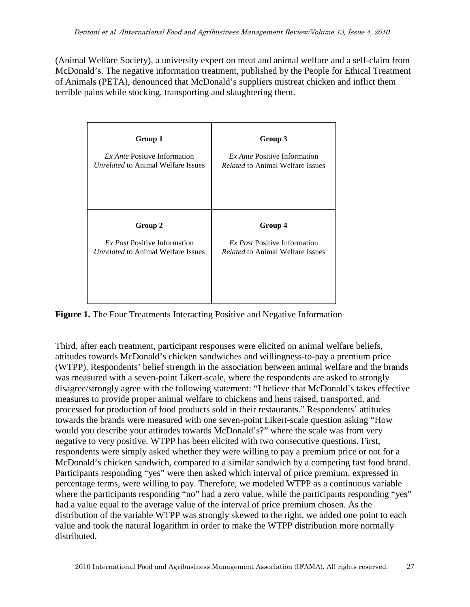(Animal Welfare Society), a university expert on meat and animal welfare and a self-claim from McDonald's. The negative information treatment, published by the People for Ethical Treatment of Animals (PETA), denounced that McDonald's suppliers mistreat chicken and inflict them terrible pains while stocking, transporting and slaughtering them.

| Group 1                                   | Group 3                                 |  |  |  |  |
|-------------------------------------------|-----------------------------------------|--|--|--|--|
| <i>Ex Ante</i> Positive Information       | <i>Ex Ante</i> Positive Information     |  |  |  |  |
| <i>Unrelated</i> to Animal Welfare Issues | <i>Related</i> to Animal Welfare Issues |  |  |  |  |
| Group 2                                   | Group 4                                 |  |  |  |  |
| <i>Ex Post</i> Positive Information       | <i>Ex Post</i> Positive Information     |  |  |  |  |
| <i>Unrelated</i> to Animal Welfare Issues | <i>Related</i> to Animal Welfare Issues |  |  |  |  |

**Figure 1.** The Four Treatments Interacting Positive and Negative Information

Third, after each treatment, participant responses were elicited on animal welfare beliefs, attitudes towards McDonald's chicken sandwiches and willingness-to-pay a premium price (WTPP). Respondents' belief strength in the association between animal welfare and the brands was measured with a seven-point Likert-scale, where the respondents are asked to strongly disagree/strongly agree with the following statement: "I believe that McDonald's takes effective measures to provide proper animal welfare to chickens and hens raised, transported, and processed for production of food products sold in their restaurants." Respondents' attitudes towards the brands were measured with one seven-point Likert-scale question asking "How would you describe your attitudes towards McDonald's?" where the scale was from very negative to very positive. WTPP has been elicited with two consecutive questions. First, respondents were simply asked whether they were willing to pay a premium price or not for a McDonald's chicken sandwich, compared to a similar sandwich by a competing fast food brand. Participants responding "yes" were then asked which interval of price premium, expressed in percentage terms, were willing to pay. Therefore, we modeled WTPP as a continuous variable where the participants responding "no" had a zero value, while the participants responding "yes" had a value equal to the average value of the interval of price premium chosen. As the distribution of the variable WTPP was strongly skewed to the right, we added one point to each value and took the natural logarithm in order to make the WTPP distribution more normally distributed.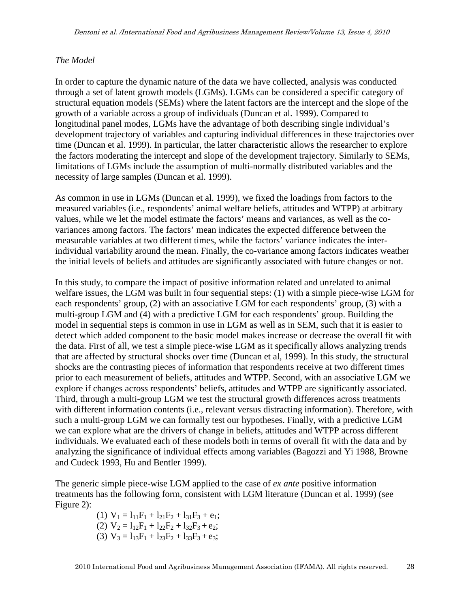### *The Model*

In order to capture the dynamic nature of the data we have collected, analysis was conducted through a set of latent growth models (LGMs). LGMs can be considered a specific category of structural equation models (SEMs) where the latent factors are the intercept and the slope of the growth of a variable across a group of individuals (Duncan et al. 1999). Compared to longitudinal panel modes, LGMs have the advantage of both describing single individual's development trajectory of variables and capturing individual differences in these trajectories over time (Duncan et al. 1999). In particular, the latter characteristic allows the researcher to explore the factors moderating the intercept and slope of the development trajectory. Similarly to SEMs, limitations of LGMs include the assumption of multi-normally distributed variables and the necessity of large samples (Duncan et al. 1999).

As common in use in LGMs (Duncan et al. 1999), we fixed the loadings from factors to the measured variables (i.e., respondents' animal welfare beliefs, attitudes and WTPP) at arbitrary values, while we let the model estimate the factors' means and variances, as well as the covariances among factors. The factors' mean indicates the expected difference between the measurable variables at two different times, while the factors' variance indicates the interindividual variability around the mean. Finally, the co-variance among factors indicates weather the initial levels of beliefs and attitudes are significantly associated with future changes or not.

In this study, to compare the impact of positive information related and unrelated to animal welfare issues, the LGM was built in four sequential steps: (1) with a simple piece-wise LGM for each respondents' group, (2) with an associative LGM for each respondents' group, (3) with a multi-group LGM and (4) with a predictive LGM for each respondents' group. Building the model in sequential steps is common in use in LGM as well as in SEM, such that it is easier to detect which added component to the basic model makes increase or decrease the overall fit with the data. First of all, we test a simple piece-wise LGM as it specifically allows analyzing trends that are affected by structural shocks over time (Duncan et al, 1999). In this study, the structural shocks are the contrasting pieces of information that respondents receive at two different times prior to each measurement of beliefs, attitudes and WTPP. Second, with an associative LGM we explore if changes across respondents' beliefs, attitudes and WTPP are significantly associated. Third, through a multi-group LGM we test the structural growth differences across treatments with different information contents (i.e., relevant versus distracting information). Therefore, with such a multi-group LGM we can formally test our hypotheses. Finally, with a predictive LGM we can explore what are the drivers of change in beliefs, attitudes and WTPP across different individuals. We evaluated each of these models both in terms of overall fit with the data and by analyzing the significance of individual effects among variables (Bagozzi and Yi 1988, Browne and Cudeck 1993, Hu and Bentler 1999).

The generic simple piece-wise LGM applied to the case of *ex ante* positive information treatments has the following form, consistent with LGM literature (Duncan et al. 1999) (see Figure 2):

> (1)  $V_1 = l_{11}F_1 + l_{21}F_2 + l_{31}F_3 + e_1;$ (2)  $V_2 = l_{12}F_1 + l_{22}F_2 + l_{32}F_3 + e_2;$ (3)  $V_3 = 1_{13}F_1 + 1_{23}F_2 + 1_{33}F_3 + e_3;$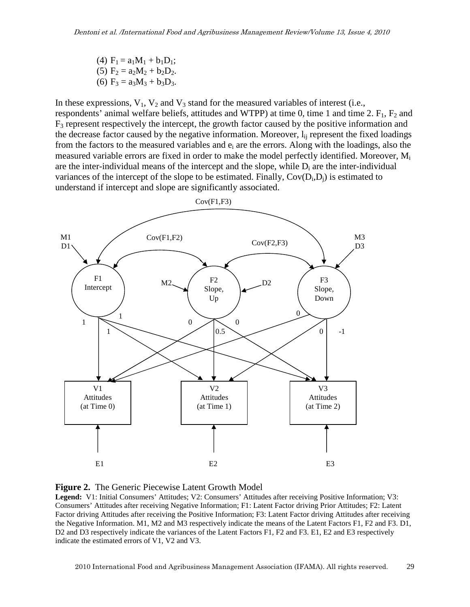(4)  $F_1 = a_1M_1 + b_1D_1$ ; (5)  $F_2 = a_2M_2 + b_2D_2$ . (6)  $F_3 = a_3M_3 + b_3D_3$ .

In these expressions,  $V_1$ ,  $V_2$  and  $V_3$  stand for the measured variables of interest (i.e., respondents' animal welfare beliefs, attitudes and WTPP) at time 0, time 1 and time 2.  $F_1$ ,  $F_2$  and  $F_3$  represent respectively the intercept, the growth factor caused by the positive information and the decrease factor caused by the negative information. Moreover,  $l_{ii}$  represent the fixed loadings from the factors to the measured variables and  $e_i$  are the errors. Along with the loadings, also the measured variable errors are fixed in order to make the model perfectly identified. Moreover, M<sup>i</sup> are the inter-individual means of the intercept and the slope, while  $D_i$  are the inter-individual variances of the intercept of the slope to be estimated. Finally,  $Cov(D_i, D_j)$  is estimated to understand if intercept and slope are significantly associated.





**Legend:** V1: Initial Consumers' Attitudes; V2: Consumers' Attitudes after receiving Positive Information; V3: Consumers' Attitudes after receiving Negative Information; F1: Latent Factor driving Prior Attitudes; F2: Latent Factor driving Attitudes after receiving the Positive Information; F3: Latent Factor driving Attitudes after receiving the Negative Information. M1, M2 and M3 respectively indicate the means of the Latent Factors F1, F2 and F3. D1, D2 and D3 respectively indicate the variances of the Latent Factors F1, F2 and F3. E1, E2 and E3 respectively indicate the estimated errors of V1, V2 and V3.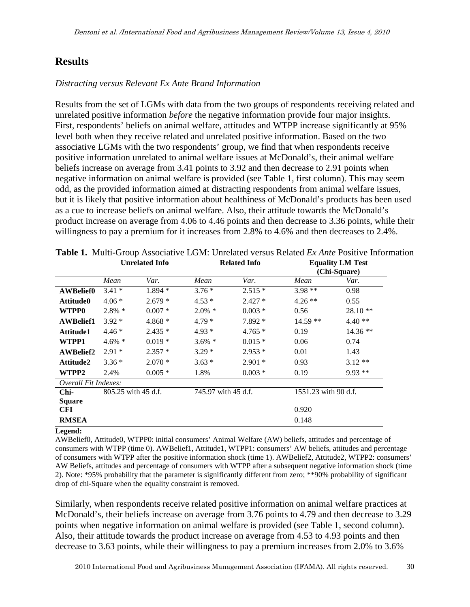# **Results**

#### *Distracting versus Relevant Ex Ante Brand Information*

Results from the set of LGMs with data from the two groups of respondents receiving related and unrelated positive information *before* the negative information provide four major insights. First, respondents' beliefs on animal welfare, attitudes and WTPP increase significantly at 95% level both when they receive related and unrelated positive information. Based on the two associative LGMs with the two respondents' group, we find that when respondents receive positive information unrelated to animal welfare issues at McDonald's, their animal welfare beliefs increase on average from 3.41 points to 3.92 and then decrease to 2.91 points when negative information on animal welfare is provided (see Table 1, first column). This may seem odd, as the provided information aimed at distracting respondents from animal welfare issues, but it is likely that positive information about healthiness of McDonald's products has been used as a cue to increase beliefs on animal welfare. Also, their attitude towards the McDonald's product increase on average from 4.06 to 4.46 points and then decrease to 3.36 points, while their willingness to pay a premium for it increases from 2.8% to 4.6% and then decreases to 2.4%.

|                      | <b>Unrelated Info</b> |          | <b>Related Info</b> |          |                      |           |
|----------------------|-----------------------|----------|---------------------|----------|----------------------|-----------|
|                      | Mean                  | Var.     | Mean                | Var.     | Mean                 | Var.      |
| <b>AWBelief0</b>     | $3.41*$               | $1.894*$ | $3.76*$             | $2.515*$ | $3.98**$             | 0.98      |
| Attitude0            | $4.06*$               | $2.679*$ | $4.53*$             | $2.427*$ | $4.26$ **            | 0.55      |
| WTPP0                | $2.8\% *$             | $0.007*$ | $2.0\% *$           | $0.003*$ | 0.56                 | $28.10**$ |
| <b>AWBelief1</b>     | $3.92*$               | 4.868 *  | $4.79*$             | $7.892*$ | $14.59**$            | $4.40**$  |
| Attitude1            | $4.46*$               | $2.435*$ | $4.93*$             | $4.765*$ | 0.19                 | $14.36**$ |
| WTPP1                | $4.6\% *$             | $0.019*$ | $3.6\%$ *           | $0.015*$ | 0.06                 | 0.74      |
| <b>AWBelief2</b>     | $2.91*$               | $2.357*$ | $3.29*$             | $2.953*$ | 0.01                 | 1.43      |
| Attitude2            | $3.36*$               | $2.070*$ | $3.63*$             | $2.901*$ | 0.93                 | $3.12**$  |
| WTPP2                | 2.4%                  | $0.005*$ | 1.8%                | $0.003*$ | 0.19                 | $9.93**$  |
| Overall Fit Indexes: |                       |          |                     |          |                      |           |
| Chi-                 | 805.25 with 45 d.f.   |          | 745.97 with 45 d.f. |          | 1551.23 with 90 d.f. |           |
| <b>Square</b>        |                       |          |                     |          |                      |           |
| <b>CFI</b>           |                       |          |                     |          | 0.920                |           |
| <b>RMSEA</b>         |                       |          |                     |          | 0.148                |           |

**Table 1.** Multi-Group Associative LGM: Unrelated versus Related *Ex Ante* Positive Information

#### **Legend:**

AWBelief0, Attitude0, WTPP0: initial consumers' Animal Welfare (AW) beliefs, attitudes and percentage of consumers with WTPP (time 0). AWBelief1, Attitude1, WTPP1: consumers' AW beliefs, attitudes and percentage of consumers with WTPP after the positive information shock (time 1). AWBelief2, Attitude2, WTPP2: consumers' AW Beliefs, attitudes and percentage of consumers with WTPP after a subsequent negative information shock (time 2). Note: \*95% probability that the parameter is significantly different from zero; \*\*90% probability of significant drop of chi-Square when the equality constraint is removed.

Similarly, when respondents receive related positive information on animal welfare practices at McDonald's, their beliefs increase on average from 3.76 points to 4.79 and then decrease to 3.29 points when negative information on animal welfare is provided (see Table 1, second column). Also, their attitude towards the product increase on average from 4.53 to 4.93 points and then decrease to 3.63 points, while their willingness to pay a premium increases from 2.0% to 3.6%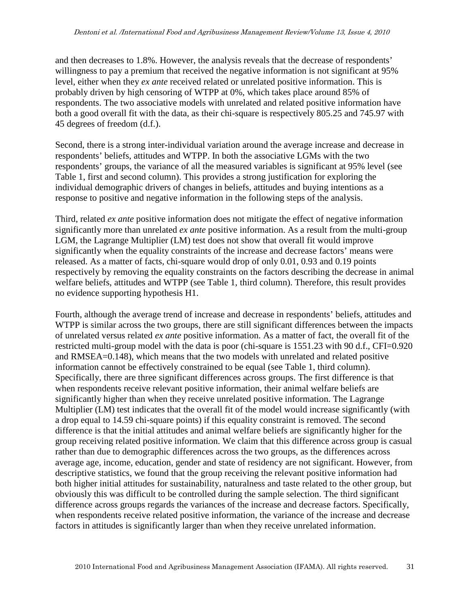and then decreases to 1.8%. However, the analysis reveals that the decrease of respondents' willingness to pay a premium that received the negative information is not significant at 95% level, either when they *ex ante* received related or unrelated positive information. This is probably driven by high censoring of WTPP at 0%, which takes place around 85% of respondents. The two associative models with unrelated and related positive information have both a good overall fit with the data, as their chi-square is respectively 805.25 and 745.97 with 45 degrees of freedom (d.f.).

Second, there is a strong inter-individual variation around the average increase and decrease in respondents' beliefs, attitudes and WTPP. In both the associative LGMs with the two respondents' groups, the variance of all the measured variables is significant at 95% level (see Table 1, first and second column). This provides a strong justification for exploring the individual demographic drivers of changes in beliefs, attitudes and buying intentions as a response to positive and negative information in the following steps of the analysis.

Third, related *ex ante* positive information does not mitigate the effect of negative information significantly more than unrelated *ex ante* positive information. As a result from the multi-group LGM, the Lagrange Multiplier (LM) test does not show that overall fit would improve significantly when the equality constraints of the increase and decrease factors' means were released. As a matter of facts, chi-square would drop of only 0.01, 0.93 and 0.19 points respectively by removing the equality constraints on the factors describing the decrease in animal welfare beliefs, attitudes and WTPP (see Table 1, third column). Therefore, this result provides no evidence supporting hypothesis H1.

Fourth, although the average trend of increase and decrease in respondents' beliefs, attitudes and WTPP is similar across the two groups, there are still significant differences between the impacts of unrelated versus related *ex ante* positive information. As a matter of fact, the overall fit of the restricted multi-group model with the data is poor (chi-square is 1551.23 with 90 d.f., CFI=0.920 and RMSEA=0.148), which means that the two models with unrelated and related positive information cannot be effectively constrained to be equal (see Table 1, third column). Specifically, there are three significant differences across groups. The first difference is that when respondents receive relevant positive information, their animal welfare beliefs are significantly higher than when they receive unrelated positive information. The Lagrange Multiplier (LM) test indicates that the overall fit of the model would increase significantly (with a drop equal to 14.59 chi-square points) if this equality constraint is removed. The second difference is that the initial attitudes and animal welfare beliefs are significantly higher for the group receiving related positive information. We claim that this difference across group is casual rather than due to demographic differences across the two groups, as the differences across average age, income, education, gender and state of residency are not significant. However, from descriptive statistics, we found that the group receiving the relevant positive information had both higher initial attitudes for sustainability, naturalness and taste related to the other group, but obviously this was difficult to be controlled during the sample selection. The third significant difference across groups regards the variances of the increase and decrease factors. Specifically, when respondents receive related positive information, the variance of the increase and decrease factors in attitudes is significantly larger than when they receive unrelated information.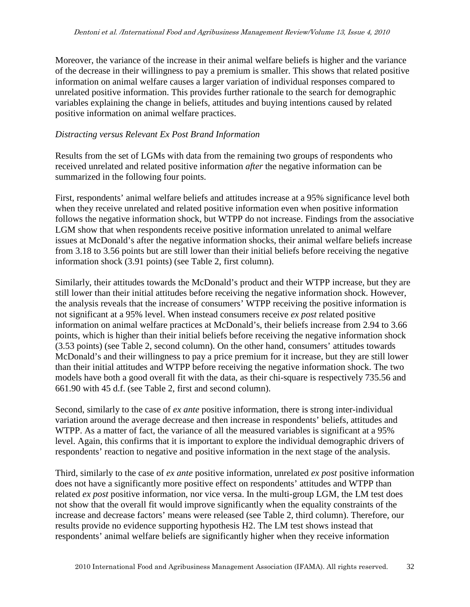Moreover, the variance of the increase in their animal welfare beliefs is higher and the variance of the decrease in their willingness to pay a premium is smaller. This shows that related positive information on animal welfare causes a larger variation of individual responses compared to unrelated positive information. This provides further rationale to the search for demographic variables explaining the change in beliefs, attitudes and buying intentions caused by related positive information on animal welfare practices.

#### *Distracting versus Relevant Ex Post Brand Information*

Results from the set of LGMs with data from the remaining two groups of respondents who received unrelated and related positive information *after* the negative information can be summarized in the following four points.

First, respondents' animal welfare beliefs and attitudes increase at a 95% significance level both when they receive unrelated and related positive information even when positive information follows the negative information shock, but WTPP do not increase. Findings from the associative LGM show that when respondents receive positive information unrelated to animal welfare issues at McDonald's after the negative information shocks, their animal welfare beliefs increase from 3.18 to 3.56 points but are still lower than their initial beliefs before receiving the negative information shock (3.91 points) (see Table 2, first column).

Similarly, their attitudes towards the McDonald's product and their WTPP increase, but they are still lower than their initial attitudes before receiving the negative information shock. However, the analysis reveals that the increase of consumers' WTPP receiving the positive information is not significant at a 95% level. When instead consumers receive *ex post* related positive information on animal welfare practices at McDonald's, their beliefs increase from 2.94 to 3.66 points, which is higher than their initial beliefs before receiving the negative information shock (3.53 points) (see Table 2, second column). On the other hand, consumers' attitudes towards McDonald's and their willingness to pay a price premium for it increase, but they are still lower than their initial attitudes and WTPP before receiving the negative information shock. The two models have both a good overall fit with the data, as their chi-square is respectively 735.56 and 661.90 with 45 d.f. (see Table 2, first and second column).

Second, similarly to the case of *ex ante* positive information, there is strong inter-individual variation around the average decrease and then increase in respondents' beliefs, attitudes and WTPP. As a matter of fact, the variance of all the measured variables is significant at a 95% level. Again, this confirms that it is important to explore the individual demographic drivers of respondents' reaction to negative and positive information in the next stage of the analysis.

Third, similarly to the case of *ex ante* positive information, unrelated *ex post* positive information does not have a significantly more positive effect on respondents' attitudes and WTPP than related *ex post* positive information, nor vice versa. In the multi-group LGM, the LM test does not show that the overall fit would improve significantly when the equality constraints of the increase and decrease factors' means were released (see Table 2, third column). Therefore, our results provide no evidence supporting hypothesis H2. The LM test shows instead that respondents' animal welfare beliefs are significantly higher when they receive information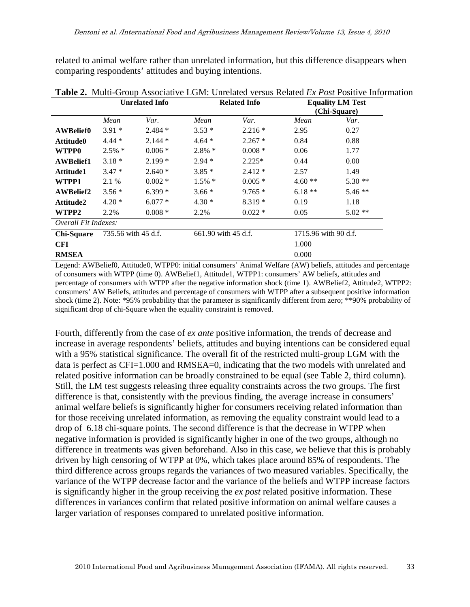related to animal welfare rather than unrelated information, but this difference disappears when comparing respondents' attitudes and buying intentions.

|                      | <b>Unrelated Info</b> |           |           | <b>Related Info</b> |          | <b>Equality LM Test</b><br>(Chi-Square) |
|----------------------|-----------------------|-----------|-----------|---------------------|----------|-----------------------------------------|
|                      | Mean                  | Var.      | Mean      | Var.                | Mean     | Var.                                    |
| <b>AWBelief0</b>     | $3.91*$               | $2.484*$  | $3.53*$   | $2.216*$            | 2.95     | 0.27                                    |
| Attitude0            | $4.44*$               | $2.144*$  | $4.64*$   | $2.267*$            | 0.84     | 0.88                                    |
| <b>WTPP0</b>         | $2.5\%$ *             | $0.006*$  | $2.8\% *$ | $0.008*$            | 0.06     | 1.77                                    |
| <b>AWBelief1</b>     | $3.18*$               | $2.199*$  | $2.94*$   | $2.225*$            | 0.44     | 0.00                                    |
| Attitude1            | $3.47*$               | $2.640*$  | $3.85*$   | $2.412*$            | 2.57     | 1.49                                    |
| WTPP1                | 2.1 %                 | $0.002*$  | $1.5\%$ * | $0.005*$            | $4.60**$ | $5.30**$                                |
| <b>AWBelief2</b>     | $3.56*$               | $6.399*$  | $3.66*$   | $9.765*$            | $6.18**$ | $5.46**$                                |
| Attitude2            | $4.20*$               | $6.077*$  | $4.30*$   | $8.319*$            | 0.19     | 1.18                                    |
| WTPP2                | 2.2%                  | $0.008 *$ | 2.2%      | $0.022*$            | 0.05     | $5.02**$                                |
| Overall Fit Indexes: |                       |           |           |                     |          |                                         |
| <b>Chi-Square</b>    | 735.56 with 45 d.f.   |           |           | 661.90 with 45 d.f. |          | 1715.96 with 90 d.f.                    |
| <b>CFI</b>           |                       |           |           |                     | 1.000    |                                         |
| <b>RMSEA</b>         |                       |           |           |                     | 0.000    |                                         |

**Table 2.** Multi-Group Associative LGM: Unrelated versus Related *Ex Post* Positive Information

Legend: AWBelief0, Attitude0, WTPP0: initial consumers' Animal Welfare (AW) beliefs, attitudes and percentage of consumers with WTPP (time 0). AWBelief1, Attitude1, WTPP1: consumers' AW beliefs, attitudes and percentage of consumers with WTPP after the negative information shock (time 1). AWBelief2, Attitude2, WTPP2: consumers' AW Beliefs, attitudes and percentage of consumers with WTPP after a subsequent positive information shock (time 2). Note: \*95% probability that the parameter is significantly different from zero; \*\*90% probability of significant drop of chi-Square when the equality constraint is removed.

Fourth, differently from the case of *ex ante* positive information, the trends of decrease and increase in average respondents' beliefs, attitudes and buying intentions can be considered equal with a 95% statistical significance. The overall fit of the restricted multi-group LGM with the data is perfect as CFI=1.000 and RMSEA=0, indicating that the two models with unrelated and related positive information can be broadly constrained to be equal (see Table 2, third column). Still, the LM test suggests releasing three equality constraints across the two groups. The first difference is that, consistently with the previous finding, the average increase in consumers' animal welfare beliefs is significantly higher for consumers receiving related information than for those receiving unrelated information, as removing the equality constraint would lead to a drop of 6.18 chi-square points. The second difference is that the decrease in WTPP when negative information is provided is significantly higher in one of the two groups, although no difference in treatments was given beforehand. Also in this case, we believe that this is probably driven by high censoring of WTPP at 0%, which takes place around 85% of respondents. The third difference across groups regards the variances of two measured variables. Specifically, the variance of the WTPP decrease factor and the variance of the beliefs and WTPP increase factors is significantly higher in the group receiving the *ex post* related positive information. These differences in variances confirm that related positive information on animal welfare causes a larger variation of responses compared to unrelated positive information.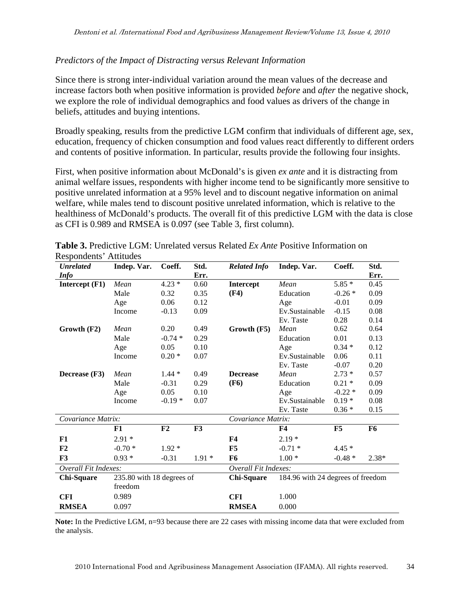#### *Predictors of the Impact of Distracting versus Relevant Information*

Since there is strong inter-individual variation around the mean values of the decrease and increase factors both when positive information is provided *before* and *after* the negative shock, we explore the role of individual demographics and food values as drivers of the change in beliefs, attitudes and buying intentions.

Broadly speaking, results from the predictive LGM confirm that individuals of different age, sex, education, frequency of chicken consumption and food values react differently to different orders and contents of positive information. In particular, results provide the following four insights.

First, when positive information about McDonald's is given *ex ante* and it is distracting from animal welfare issues, respondents with higher income tend to be significantly more sensitive to positive unrelated information at a 95% level and to discount negative information on animal welfare, while males tend to discount positive unrelated information, which is relative to the healthiness of McDonald's products. The overall fit of this predictive LGM with the data is close as CFI is 0.989 and RMSEA is 0.097 (see Table 3, first column).

| <b>Unrelated</b>     | Indep. Var.               | Coeff.   | Std.     | <b>Related Info</b>  | Indep. Var.    | Coeff.                            | Std.           |  |
|----------------------|---------------------------|----------|----------|----------------------|----------------|-----------------------------------|----------------|--|
| <b>Info</b>          |                           |          | Err.     |                      |                |                                   | Err.           |  |
| Intercept (F1)       | Mean                      | $4.23*$  | 0.60     | Intercept            | Mean           | $5.85*$                           | 0.45           |  |
|                      | Male                      | 0.32     | 0.35     | (F4)                 | Education      | $-0.26*$                          | 0.09           |  |
|                      | Age                       | 0.06     | 0.12     |                      | Age            | $-0.01$                           | 0.09           |  |
|                      | Income                    | $-0.13$  | 0.09     |                      | Ev.Sustainable | $-0.15$                           | 0.08           |  |
|                      |                           |          |          |                      | Ev. Taste      | 0.28                              | 0.14           |  |
| Growth (F2)          | Mean                      | 0.20     | 0.49     | Growth (F5)          | Mean           | 0.62                              | 0.64           |  |
|                      | Male                      | $-0.74*$ | 0.29     |                      | Education      | 0.01                              | 0.13           |  |
|                      | Age                       | 0.05     | 0.10     |                      | Age            | $0.34*$                           | 0.12           |  |
|                      | Income                    | $0.20*$  | 0.07     |                      | Ev.Sustainable | 0.06                              | 0.11           |  |
|                      |                           |          |          |                      | Ev. Taste      | $-0.07$                           | 0.20           |  |
| Decrease (F3)        | Mean                      | $1.44*$  | 0.49     | <b>Decrease</b>      | Mean           | $2.73*$                           | 0.57           |  |
|                      | Male                      | $-0.31$  | 0.29     | (F6)                 | Education      | $0.21 *$                          | 0.09           |  |
|                      | Age                       | 0.05     | 0.10     |                      | Age            | $-0.22*$                          | 0.09           |  |
|                      | Income                    | $-0.19*$ | 0.07     |                      | Ev.Sustainable | $0.19*$                           | 0.08           |  |
|                      |                           |          |          |                      | Ev. Taste      | $0.36*$                           | 0.15           |  |
| Covariance Matrix:   |                           |          |          | Covariance Matrix:   |                |                                   |                |  |
|                      | F1                        | F2       | F3       |                      | <b>F4</b>      | F5                                | F <sub>6</sub> |  |
| F1                   | $2.91*$                   |          |          | F <sub>4</sub>       | $2.19*$        |                                   |                |  |
| F2                   | $-0.70*$                  | $1.92 *$ |          | F5                   | $-0.71*$       | $4.45*$                           |                |  |
| F3                   | $0.93*$                   | $-0.31$  | $1.91 *$ | F <sub>6</sub>       | $1.00*$        | $-0.48*$                          | $2.38*$        |  |
| Overall Fit Indexes: |                           |          |          | Overall Fit Indexes: |                |                                   |                |  |
| <b>Chi-Square</b>    | 235.80 with 18 degrees of |          |          | Chi-Square           |                | 184.96 with 24 degrees of freedom |                |  |
|                      | freedom                   |          |          |                      |                |                                   |                |  |
| <b>CFI</b>           | 0.989                     |          |          | <b>CFI</b>           | 1.000          |                                   |                |  |
| <b>RMSEA</b>         | 0.097                     |          |          | <b>RMSEA</b>         | 0.000          |                                   |                |  |

|  |                        |  |  | <b>Table 3.</b> Predictive LGM: Unrelated versus Related Ex Ante Positive Information on |  |
|--|------------------------|--|--|------------------------------------------------------------------------------------------|--|
|  | Respondents' Attitudes |  |  |                                                                                          |  |

**Note:** In the Predictive LGM, n=93 because there are 22 cases with missing income data that were excluded from the analysis.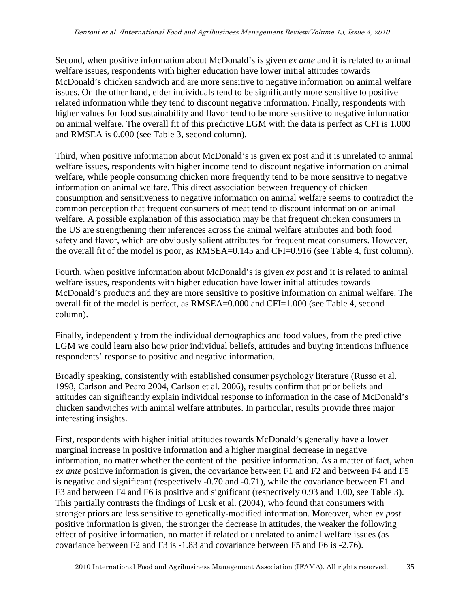Second, when positive information about McDonald's is given *ex ante* and it is related to animal welfare issues, respondents with higher education have lower initial attitudes towards McDonald's chicken sandwich and are more sensitive to negative information on animal welfare issues. On the other hand, elder individuals tend to be significantly more sensitive to positive related information while they tend to discount negative information. Finally, respondents with higher values for food sustainability and flavor tend to be more sensitive to negative information on animal welfare. The overall fit of this predictive LGM with the data is perfect as CFI is 1.000 and RMSEA is 0.000 (see Table 3, second column).

Third, when positive information about McDonald's is given ex post and it is unrelated to animal welfare issues, respondents with higher income tend to discount negative information on animal welfare, while people consuming chicken more frequently tend to be more sensitive to negative information on animal welfare. This direct association between frequency of chicken consumption and sensitiveness to negative information on animal welfare seems to contradict the common perception that frequent consumers of meat tend to discount information on animal welfare. A possible explanation of this association may be that frequent chicken consumers in the US are strengthening their inferences across the animal welfare attributes and both food safety and flavor, which are obviously salient attributes for frequent meat consumers. However, the overall fit of the model is poor, as RMSEA=0.145 and CFI=0.916 (see Table 4, first column).

Fourth, when positive information about McDonald's is given *ex post* and it is related to animal welfare issues, respondents with higher education have lower initial attitudes towards McDonald's products and they are more sensitive to positive information on animal welfare. The overall fit of the model is perfect, as RMSEA=0.000 and CFI=1.000 (see Table 4, second column).

Finally, independently from the individual demographics and food values, from the predictive LGM we could learn also how prior individual beliefs, attitudes and buying intentions influence respondents' response to positive and negative information.

Broadly speaking, consistently with established consumer psychology literature (Russo et al. 1998, Carlson and Pearo 2004, Carlson et al. 2006), results confirm that prior beliefs and attitudes can significantly explain individual response to information in the case of McDonald's chicken sandwiches with animal welfare attributes. In particular, results provide three major interesting insights.

First, respondents with higher initial attitudes towards McDonald's generally have a lower marginal increase in positive information and a higher marginal decrease in negative information, no matter whether the content of the positive information. As a matter of fact, when *ex ante* positive information is given, the covariance between F1 and F2 and between F4 and F5 is negative and significant (respectively -0.70 and -0.71), while the covariance between F1 and F3 and between F4 and F6 is positive and significant (respectively 0.93 and 1.00, see Table 3). This partially contrasts the findings of Lusk et al. (2004), who found that consumers with stronger priors are less sensitive to genetically-modified information. Moreover, when *ex post* positive information is given, the stronger the decrease in attitudes, the weaker the following effect of positive information, no matter if related or unrelated to animal welfare issues (as covariance between F2 and F3 is -1.83 and covariance between F5 and F6 is -2.76).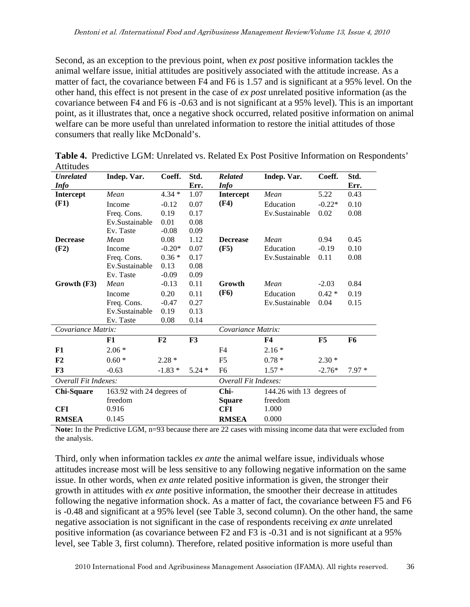Second, as an exception to the previous point, when *ex post* positive information tackles the animal welfare issue, initial attitudes are positively associated with the attitude increase. As a matter of fact, the covariance between F4 and F6 is 1.57 and is significant at a 95% level. On the other hand, this effect is not present in the case of *ex post* unrelated positive information (as the covariance between F4 and F6 is -0.63 and is not significant at a 95% level). This is an important point, as it illustrates that, once a negative shock occurred, related positive information on animal welfare can be more useful than unrelated information to restore the initial attitudes of those consumers that really like McDonald's.

| <b>Unrelated</b>     | Indep. Var.               | Coeff.   | Std.    | <b>Related</b>           | Indep. Var.               | Coeff.   | Std.           |  |
|----------------------|---------------------------|----------|---------|--------------------------|---------------------------|----------|----------------|--|
| <b>Info</b>          |                           |          | Err.    | <b>Info</b>              |                           |          | Err.           |  |
| <b>Intercept</b>     | Mean                      | $4.34*$  | 1.07    | <b>Intercept</b>         | Mean                      | 5.22     | 0.43           |  |
| (F1)                 | Income                    | $-0.12$  | 0.07    | (F4)                     | Education                 | $-0.22*$ | 0.10           |  |
|                      | Freq. Cons.               | 0.19     | 0.17    |                          | Ev.Sustainable            | 0.02     | 0.08           |  |
|                      | Ev.Sustainable            | 0.01     | 0.08    |                          |                           |          |                |  |
|                      | Ev. Taste                 | $-0.08$  | 0.09    |                          |                           |          |                |  |
| <b>Decrease</b>      | Mean                      | 0.08     | 1.12    | <b>Decrease</b>          | Mean                      | 0.94     | 0.45           |  |
| (F2)                 | Income                    | $-0.20*$ | 0.07    | (F5)                     | Education                 | $-0.19$  | 0.10           |  |
|                      | Freq. Cons.               | $0.36*$  | 0.17    |                          | Ev.Sustainable            | 0.11     | 0.08           |  |
|                      | Ev.Sustainable            | 0.13     | 0.08    |                          |                           |          |                |  |
|                      | Ev. Taste                 | $-0.09$  | 0.09    |                          |                           |          |                |  |
| Growth (F3)          | Mean                      | $-0.13$  | 0.11    | Growth                   | Mean                      | $-2.03$  | 0.84           |  |
|                      | Income                    | 0.20     | 0.11    | <b>(F6)</b>              | Education                 | $0.42*$  | 0.19           |  |
|                      | Freq. Cons.               | $-0.47$  | 0.27    |                          | Ev.Sustainable            | 0.04     | 0.15           |  |
|                      | Ev.Sustainable            | 0.19     | 0.13    |                          |                           |          |                |  |
|                      | Ev. Taste                 | 0.08     | 0.14    |                          |                           |          |                |  |
| Covariance Matrix:   |                           |          |         | Covariance Matrix:       |                           |          |                |  |
|                      | F1                        | F2       | F3      |                          | <b>F4</b>                 | F5       | F <sub>6</sub> |  |
| F1                   | $2.06*$                   |          |         | F4                       | $2.16*$                   |          |                |  |
| F2                   | $0.60*$                   | $2.28*$  |         | F <sub>5</sub>           | $0.78 *$                  | $2.30*$  |                |  |
| F3                   | $-0.63$                   | $-1.83*$ | $5.24*$ | F <sub>6</sub>           | $1.57*$                   | $-2.76*$ | $7.97*$        |  |
| Overall Fit Indexes: |                           |          |         | Overall Fit Indexes:     |                           |          |                |  |
| <b>Chi-Square</b>    | 163.92 with 24 degrees of |          |         | Chi-                     | 144.26 with 13 degrees of |          |                |  |
|                      | freedom                   |          |         | freedom<br><b>Square</b> |                           |          |                |  |
| <b>CFI</b>           | 0.916                     |          |         | <b>CFI</b>               | 1.000                     |          |                |  |
| <b>RMSEA</b>         | 0.145                     |          |         | <b>RMSEA</b>             | 0.000                     |          |                |  |

**Table 4.** Predictive LGM: Unrelated vs. Related Ex Post Positive Information on Respondents' Attitudes

**Note:** In the Predictive LGM, n=93 because there are 22 cases with missing income data that were excluded from the analysis.

Third, only when information tackles *ex ante* the animal welfare issue, individuals whose attitudes increase most will be less sensitive to any following negative information on the same issue. In other words, when *ex ante* related positive information is given, the stronger their growth in attitudes with *ex ante* positive information, the smoother their decrease in attitudes following the negative information shock. As a matter of fact, the covariance between F5 and F6 is -0.48 and significant at a 95% level (see Table 3, second column). On the other hand, the same negative association is not significant in the case of respondents receiving *ex ante* unrelated positive information (as covariance between F2 and F3 is -0.31 and is not significant at a 95% level, see Table 3, first column). Therefore, related positive information is more useful than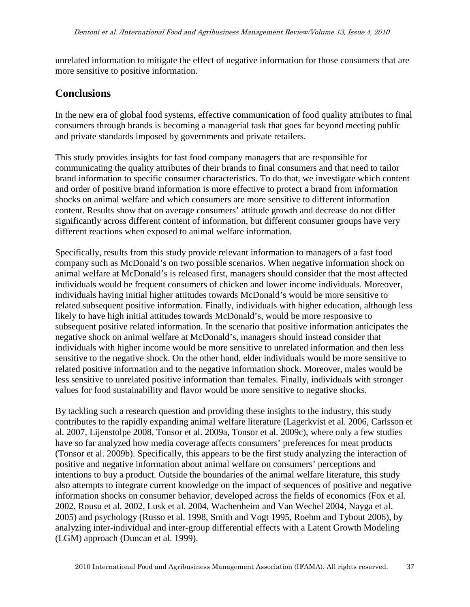unrelated information to mitigate the effect of negative information for those consumers that are more sensitive to positive information.

# **Conclusions**

In the new era of global food systems, effective communication of food quality attributes to final consumers through brands is becoming a managerial task that goes far beyond meeting public and private standards imposed by governments and private retailers.

This study provides insights for fast food company managers that are responsible for communicating the quality attributes of their brands to final consumers and that need to tailor brand information to specific consumer characteristics. To do that, we investigate which content and order of positive brand information is more effective to protect a brand from information shocks on animal welfare and which consumers are more sensitive to different information content. Results show that on average consumers' attitude growth and decrease do not differ significantly across different content of information, but different consumer groups have very different reactions when exposed to animal welfare information.

Specifically, results from this study provide relevant information to managers of a fast food company such as McDonald's on two possible scenarios. When negative information shock on animal welfare at McDonald's is released first, managers should consider that the most affected individuals would be frequent consumers of chicken and lower income individuals. Moreover, individuals having initial higher attitudes towards McDonald's would be more sensitive to related subsequent positive information. Finally, individuals with higher education, although less likely to have high initial attitudes towards McDonald's, would be more responsive to subsequent positive related information. In the scenario that positive information anticipates the negative shock on animal welfare at McDonald's, managers should instead consider that individuals with higher income would be more sensitive to unrelated information and then less sensitive to the negative shock. On the other hand, elder individuals would be more sensitive to related positive information and to the negative information shock. Moreover, males would be less sensitive to unrelated positive information than females. Finally, individuals with stronger values for food sustainability and flavor would be more sensitive to negative shocks.

By tackling such a research question and providing these insights to the industry, this study contributes to the rapidly expanding animal welfare literature (Lagerkvist et al. 2006, Carlsson et al. 2007, Lijenstolpe 2008, Tonsor et al. 2009a, Tonsor et al. 2009c), where only a few studies have so far analyzed how media coverage affects consumers' preferences for meat products (Tonsor et al. 2009b). Specifically, this appears to be the first study analyzing the interaction of positive and negative information about animal welfare on consumers' perceptions and intentions to buy a product. Outside the boundaries of the animal welfare literature, this study also attempts to integrate current knowledge on the impact of sequences of positive and negative information shocks on consumer behavior, developed across the fields of economics (Fox et al. 2002, Rousu et al. 2002, Lusk et al. 2004, Wachenheim and Van Wechel 2004, Nayga et al. 2005) and psychology (Russo et al. 1998, Smith and Vogt 1995, Roehm and Tybout 2006), by analyzing inter-individual and inter-group differential effects with a Latent Growth Modeling (LGM) approach (Duncan et al. 1999).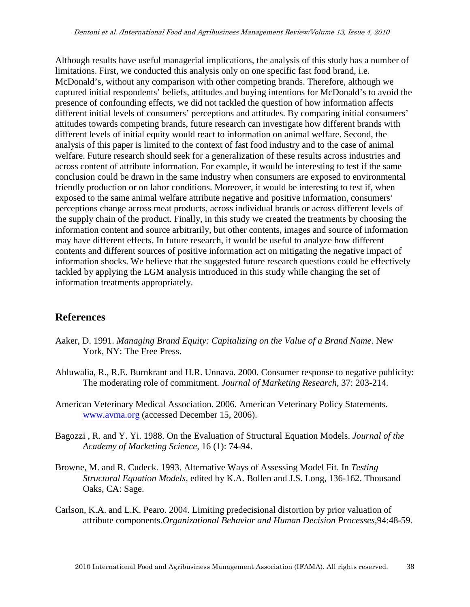Although results have useful managerial implications, the analysis of this study has a number of limitations. First, we conducted this analysis only on one specific fast food brand, i.e. McDonald's, without any comparison with other competing brands. Therefore, although we captured initial respondents' beliefs, attitudes and buying intentions for McDonald's to avoid the presence of confounding effects, we did not tackled the question of how information affects different initial levels of consumers' perceptions and attitudes. By comparing initial consumers' attitudes towards competing brands, future research can investigate how different brands with different levels of initial equity would react to information on animal welfare. Second, the analysis of this paper is limited to the context of fast food industry and to the case of animal welfare. Future research should seek for a generalization of these results across industries and across content of attribute information. For example, it would be interesting to test if the same conclusion could be drawn in the same industry when consumers are exposed to environmental friendly production or on labor conditions. Moreover, it would be interesting to test if, when exposed to the same animal welfare attribute negative and positive information, consumers' perceptions change across meat products, across individual brands or across different levels of the supply chain of the product. Finally, in this study we created the treatments by choosing the information content and source arbitrarily, but other contents, images and source of information may have different effects. In future research, it would be useful to analyze how different contents and different sources of positive information act on mitigating the negative impact of information shocks. We believe that the suggested future research questions could be effectively tackled by applying the LGM analysis introduced in this study while changing the set of information treatments appropriately.

#### **References**

- Aaker, D. 1991. *Managing Brand Equity: Capitalizing on the Value of a Brand Name*. New York, NY: The Free Press.
- Ahluwalia, R., R.E. Burnkrant and H.R. Unnava. 2000. Consumer response to negative publicity: The moderating role of commitment. *Journal of Marketing Research*, 37: 203-214.
- American Veterinary Medical Association. 2006. American Veterinary Policy Statements. www.avma.org (accessed December 15, 2006).
- Bagozzi , R. and Y. Yi. 1988. On the Evaluation of Structural Equation Models. *Journal of the Academy of Marketing Science,* 16 (1): 74-94.
- Browne, M. and R. Cudeck. 1993. Alternative Ways of Assessing Model Fit. In *Testing Structural Equation Models,* edited by K.A. Bollen and J.S. Long, 136-162. Thousand Oaks, CA: Sage.
- Carlson, K.A. and L.K. Pearo. 2004. Limiting predecisional distortion by prior valuation of attribute components.*Organizational Behavior and Human Decision Processes,*94:48-59.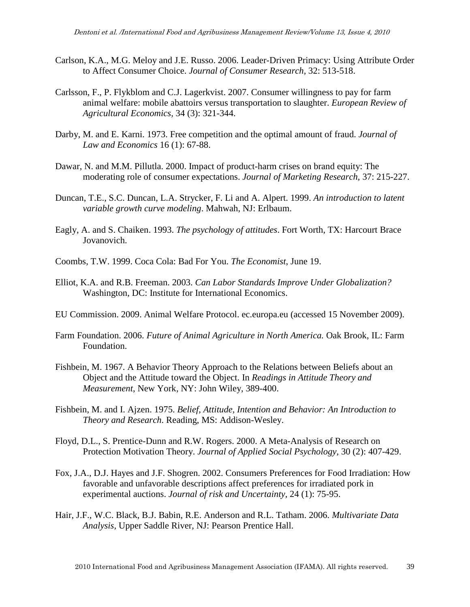- Carlson, K.A., M.G. Meloy and J.E. Russo. 2006. Leader-Driven Primacy: Using Attribute Order to Affect Consumer Choice. *Journal of Consumer Research,* 32: 513-518.
- Carlsson, F., P. Flykblom and C.J. Lagerkvist. 2007. Consumer willingness to pay for farm animal welfare: mobile abattoirs versus transportation to slaughter. *European Review of Agricultural Economics,* 34 (3): 321-344.
- Darby, M. and E. Karni. 1973. Free competition and the optimal amount of fraud. *Journal of Law and Economics* 16 (1): 67-88.
- Dawar, N. and M.M. Pillutla. 2000. Impact of product-harm crises on brand equity: The moderating role of consumer expectations. *Journal of Marketing Research,* 37: 215-227.
- Duncan, T.E., S.C. Duncan, L.A. Strycker, F. Li and A. Alpert. 1999. *An introduction to latent variable growth curve modeling*. Mahwah, NJ: Erlbaum.
- Eagly, A. and S. Chaiken. 1993. *The psychology of attitudes*. Fort Worth, TX: Harcourt Brace Jovanovich.
- Coombs, T.W. 1999. Coca Cola: Bad For You. *The Economist*, June 19.
- Elliot, K.A. and R.B. Freeman. 2003. *Can Labor Standards Improve Under Globalization?* Washington, DC: Institute for International Economics.
- EU Commission. 2009. Animal Welfare Protocol. ec.europa.eu (accessed 15 November 2009).
- Farm Foundation. 2006. *Future of Animal Agriculture in North America.* Oak Brook, IL: Farm Foundation.
- Fishbein, M. 1967. A Behavior Theory Approach to the Relations between Beliefs about an Object and the Attitude toward the Object. In *Readings in Attitude Theory and Measurement*, New York, NY: John Wiley, 389-400.
- Fishbein, M. and I. Ajzen. 1975. *Belief, Attitude, Intention and Behavior: An Introduction to Theory and Research*. Reading, MS: Addison-Wesley.
- Floyd, D.L., S. Prentice-Dunn and R.W. Rogers. 2000. A Meta-Analysis of Research on Protection Motivation Theory. *Journal of Applied Social Psychology,* 30 (2): 407-429.
- Fox, J.A., D.J. Hayes and J.F. Shogren. 2002. Consumers Preferences for Food Irradiation: How favorable and unfavorable descriptions affect preferences for irradiated pork in experimental auctions. *Journal of risk and Uncertainty,* 24 (1): 75-95.
- Hair, J.F., W.C. Black, B.J. Babin, R.E. Anderson and R.L. Tatham. 2006. *Multivariate Data Analysis,* Upper Saddle River, NJ: Pearson Prentice Hall.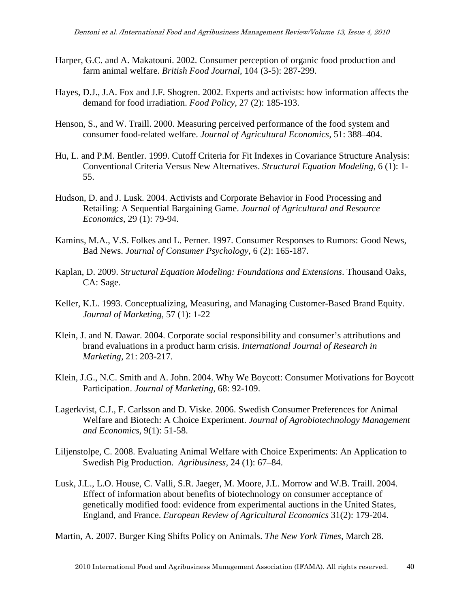- Harper, G.C. and A. Makatouni. 2002. Consumer perception of organic food production and farm animal welfare. *British Food Journal,* 104 (3-5): 287-299.
- Hayes, D.J., J.A. Fox and J.F. Shogren. 2002. Experts and activists: how information affects the demand for food irradiation. *Food Policy,* 27 (2): 185-193.
- Henson, S., and W. Traill. 2000. Measuring perceived performance of the food system and consumer food-related welfare. *Journal of Agricultural Economics,* 51: 388–404.
- Hu, L. and P.M. Bentler. 1999. Cutoff Criteria for Fit Indexes in Covariance Structure Analysis: Conventional Criteria Versus New Alternatives. *Structural Equation Modeling,* 6 (1): 1- 55.
- Hudson, D. and J. Lusk. 2004. Activists and Corporate Behavior in Food Processing and Retailing: A Sequential Bargaining Game. *Journal of Agricultural and Resource Economics*, 29 (1): 79-94.
- Kamins, M.A., V.S. Folkes and L. Perner. 1997. Consumer Responses to Rumors: Good News, Bad News. *Journal of Consumer Psychology,* 6 (2): 165-187.
- Kaplan, D. 2009. *Structural Equation Modeling: Foundations and Extensions*. Thousand Oaks, CA: Sage.
- Keller, K.L. 1993. Conceptualizing, Measuring, and Managing Customer-Based Brand Equity. *Journal of Marketing,* 57 (1): 1-22
- Klein, J. and N. Dawar. 2004. Corporate social responsibility and consumer's attributions and brand evaluations in a product harm crisis. *International Journal of Research in Marketing,* 21: 203-217.
- Klein, J.G., N.C. Smith and A. John. 2004. Why We Boycott: Consumer Motivations for Boycott Participation. *Journal of Marketing,* 68: 92-109.
- Lagerkvist, C.J., F. Carlsson and D. Viske. 2006. Swedish Consumer Preferences for Animal Welfare and Biotech: A Choice Experiment. *Journal of Agrobiotechnology Management and Economics,* 9(1): 51-58.
- Liljenstolpe, C. 2008. Evaluating Animal Welfare with Choice Experiments: An Application to Swedish Pig Production. *Agribusiness,* 24 (1): 67–84.
- Lusk, J.L., L.O. House, C. Valli, S.R. Jaeger, M. Moore, J.L. Morrow and W.B. Traill. 2004. Effect of information about benefits of biotechnology on consumer acceptance of genetically modified food: evidence from experimental auctions in the United States, England, and France. *European Review of Agricultural Economics* 31(2): 179-204.

Martin, A. 2007. Burger King Shifts Policy on Animals. *The New York Times*, March 28.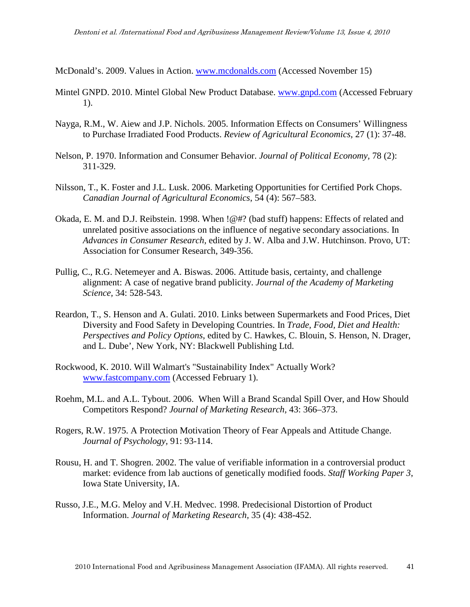McDonald's. 2009. Values in Action. www.mcdonalds.com (Accessed November 15)

- Mintel GNPD. 2010. Mintel Global New Product Database. www.gnpd.com (Accessed February 1).
- Nayga, R.M., W. Aiew and J.P. Nichols. 2005. Information Effects on Consumers' Willingness to Purchase Irradiated Food Products. *Review of Agricultural Economics,* 27 (1): 37-48.
- Nelson, P. 1970. Information and Consumer Behavior. *Journal of Political Economy,* 78 (2): 311-329.
- Nilsson, T., K. Foster and J.L. Lusk. 2006. Marketing Opportunities for Certified Pork Chops. *Canadian Journal of Agricultural Economics*, 54 (4): 567–583.
- Okada, E. M. and D.J. Reibstein. 1998. When !@#? (bad stuff) happens: Effects of related and unrelated positive associations on the influence of negative secondary associations. In *Advances in Consumer Research,* edited by J. W. Alba and J.W. Hutchinson. Provo, UT: Association for Consumer Research, 349-356.
- Pullig, C., R.G. Netemeyer and A. Biswas. 2006. Attitude basis, certainty, and challenge alignment: A case of negative brand publicity. *Journal of the Academy of Marketing Science,* 34: 528-543.
- Reardon, T., S. Henson and A. Gulati. 2010. Links between Supermarkets and Food Prices, Diet Diversity and Food Safety in Developing Countries. In *Trade, Food, Diet and Health: Perspectives and Policy Options*, edited by C. Hawkes, C. Blouin, S. Henson, N. Drager, and L. Dube', New York, NY: Blackwell Publishing Ltd.
- Rockwood, K. 2010. Will Walmart's "Sustainability Index" Actually Work? www.fastcompany.com (Accessed February 1).
- Roehm, M.L. and A.L. Tybout. 2006. When Will a Brand Scandal Spill Over, and How Should Competitors Respond? *Journal of Marketing Research,* 43: 366–373.
- Rogers, R.W. 1975. A Protection Motivation Theory of Fear Appeals and Attitude Change. *Journal of Psychology,* 91: 93-114.
- Rousu, H. and T. Shogren. 2002. The value of verifiable information in a controversial product market: evidence from lab auctions of genetically modified foods. *Staff Working Paper 3*, Iowa State University, IA.
- Russo, J.E., M.G. Meloy and V.H. Medvec. 1998. Predecisional Distortion of Product Information. *Journal of Marketing Research,* 35 (4): 438-452.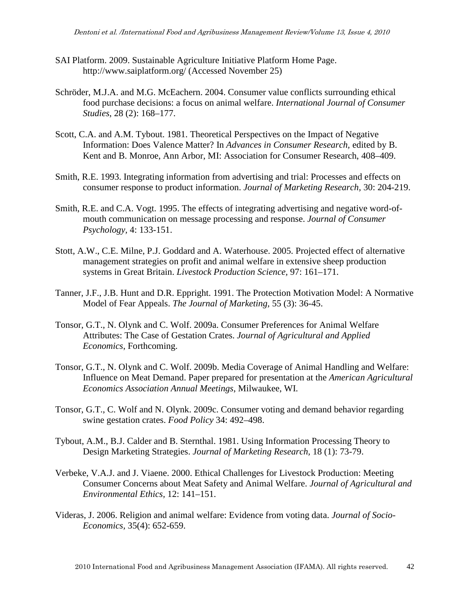- SAI Platform. 2009. Sustainable Agriculture Initiative Platform Home Page. http://www.saiplatform.org/ (Accessed November 25)
- Schröder, M.J.A. and M.G. McEachern. 2004. Consumer value conflicts surrounding ethical food purchase decisions: a focus on animal welfare. *International Journal of Consumer Studies*, 28 (2): 168–177.
- Scott, C.A. and A.M. Tybout. 1981. Theoretical Perspectives on the Impact of Negative Information: Does Valence Matter? In *Advances in Consumer Research,* edited by B. Kent and B. Monroe, Ann Arbor, MI: Association for Consumer Research, 408–409.
- Smith, R.E. 1993. Integrating information from advertising and trial: Processes and effects on consumer response to product information. *Journal of Marketing Research,* 30: 204-219.
- Smith, R.E. and C.A. Vogt. 1995. The effects of integrating advertising and negative word-ofmouth communication on message processing and response. *Journal of Consumer Psychology,* 4: 133-151.
- Stott, A.W., C.E. Milne, P.J. Goddard and A. Waterhouse. 2005. Projected effect of alternative management strategies on profit and animal welfare in extensive sheep production systems in Great Britain. *Livestock Production Science,* 97: 161–171.
- Tanner, J.F., J.B. Hunt and D.R. Eppright. 1991. The Protection Motivation Model: A Normative Model of Fear Appeals. *The Journal of Marketing,* 55 (3): 36-45.
- Tonsor, G.T., N. Olynk and C. Wolf. 2009a. Consumer Preferences for Animal Welfare Attributes: The Case of Gestation Crates. *Journal of Agricultural and Applied Economics*, Forthcoming.
- Tonsor, G.T., N. Olynk and C. Wolf. 2009b. Media Coverage of Animal Handling and Welfare: Influence on Meat Demand. Paper prepared for presentation at the *American Agricultural Economics Association Annual Meetings*, Milwaukee, WI.
- Tonsor, G.T., C. Wolf and N. Olynk. 2009c. Consumer voting and demand behavior regarding swine gestation crates. *Food Policy* 34: 492–498.
- Tybout, A.M., B.J. Calder and B. Sternthal. 1981. Using Information Processing Theory to Design Marketing Strategies. *Journal of Marketing Research,* 18 (1): 73-79.
- Verbeke, V.A.J. and J. Viaene. 2000. Ethical Challenges for Livestock Production: Meeting Consumer Concerns about Meat Safety and Animal Welfare. *Journal of Agricultural and Environmental Ethics,* 12: 141–151.
- Videras, J. 2006. Religion and animal welfare: Evidence from voting data. *Journal of Socio-Economics,* 35(4): 652-659.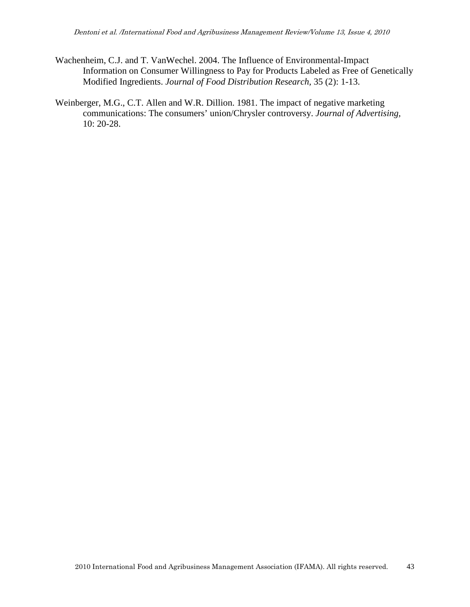- Wachenheim, C.J. and T. VanWechel. 2004. The Influence of Environmental-Impact Information on Consumer Willingness to Pay for Products Labeled as Free of Genetically Modified Ingredients. *Journal of Food Distribution Research,* 35 (2): 1-13.
- Weinberger, M.G., C.T. Allen and W.R. Dillion. 1981. The impact of negative marketing communications: The consumers' union/Chrysler controversy. *Journal of Advertising,* 10: 20-28.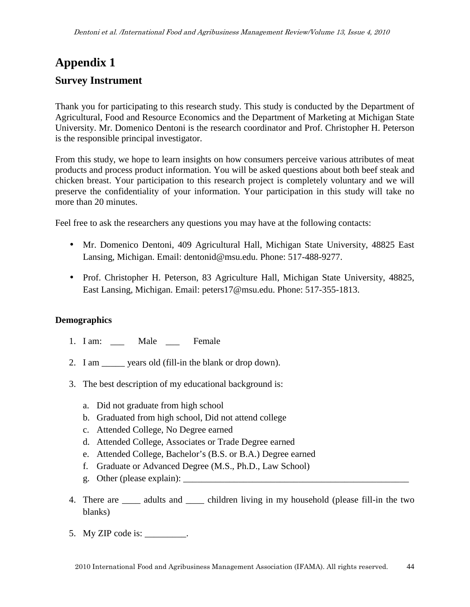# **Appendix 1 Survey Instrument**

Thank you for participating to this research study. This study is conducted by the Department of Agricultural, Food and Resource Economics and the Department of Marketing at Michigan State University. Mr. Domenico Dentoni is the research coordinator and Prof. Christopher H. Peterson is the responsible principal investigator.

From this study, we hope to learn insights on how consumers perceive various attributes of meat products and process product information. You will be asked questions about both beef steak and chicken breast. Your participation to this research project is completely voluntary and we will preserve the confidentiality of your information. Your participation in this study will take no more than 20 minutes.

Feel free to ask the researchers any questions you may have at the following contacts:

- Mr. Domenico Dentoni, 409 Agricultural Hall, Michigan State University, 48825 East Lansing, Michigan. Email: dentonid@msu.edu. Phone: 517-488-9277.
- Prof. Christopher H. Peterson, 83 Agriculture Hall, Michigan State University, 48825, East Lansing, Michigan. Email: peters17@msu.edu. Phone: 517-355-1813.

# **Demographics**

- 1. I am: Male Female
- 2. I am \_\_\_\_\_ years old (fill-in the blank or drop down).
- 3. The best description of my educational background is:
	- a. Did not graduate from high school
	- b. Graduated from high school, Did not attend college
	- c. Attended College, No Degree earned
	- d. Attended College, Associates or Trade Degree earned
	- e. Attended College, Bachelor's (B.S. or B.A.) Degree earned
	- f. Graduate or Advanced Degree (M.S., Ph.D., Law School)
	- g. Other (please explain):
- 4. There are <u>equall</u> and <u>equal children living in my household</u> (please fill-in the two blanks)
- 5. My ZIP code is: \_\_\_\_\_\_\_\_\_.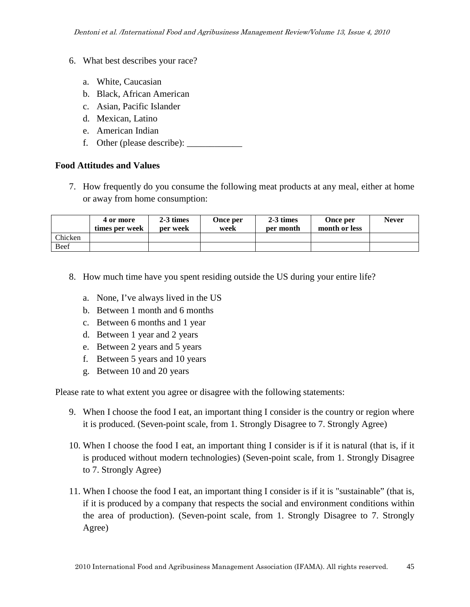- 6. What best describes your race?
	- a. White, Caucasian
	- b. Black, African American
	- c. Asian, Pacific Islander
	- d. Mexican, Latino
	- e. American Indian
	- f. Other (please describe): \_\_\_\_\_\_\_\_\_\_\_\_

#### **Food Attitudes and Values**

7. How frequently do you consume the following meat products at any meal, either at home or away from home consumption:

|         | 4 or more<br>times per week | 2-3 times<br>per week | Once per<br>week | $2-3$ times<br>per month | Once per<br>month or less | <b>Never</b> |
|---------|-----------------------------|-----------------------|------------------|--------------------------|---------------------------|--------------|
| Chicken |                             |                       |                  |                          |                           |              |
| Beef    |                             |                       |                  |                          |                           |              |

- 8. How much time have you spent residing outside the US during your entire life?
	- a. None, I've always lived in the US
	- b. Between 1 month and 6 months
	- c. Between 6 months and 1 year
	- d. Between 1 year and 2 years
	- e. Between 2 years and 5 years
	- f. Between 5 years and 10 years
	- g. Between 10 and 20 years

Please rate to what extent you agree or disagree with the following statements:

- 9. When I choose the food I eat, an important thing I consider is the country or region where it is produced. (Seven-point scale, from 1. Strongly Disagree to 7. Strongly Agree)
- 10. When I choose the food I eat, an important thing I consider is if it is natural (that is, if it is produced without modern technologies) (Seven-point scale, from 1. Strongly Disagree to 7. Strongly Agree)
- 11. When I choose the food I eat, an important thing I consider is if it is "sustainable" (that is, if it is produced by a company that respects the social and environment conditions within the area of production). (Seven-point scale, from 1. Strongly Disagree to 7. Strongly Agree)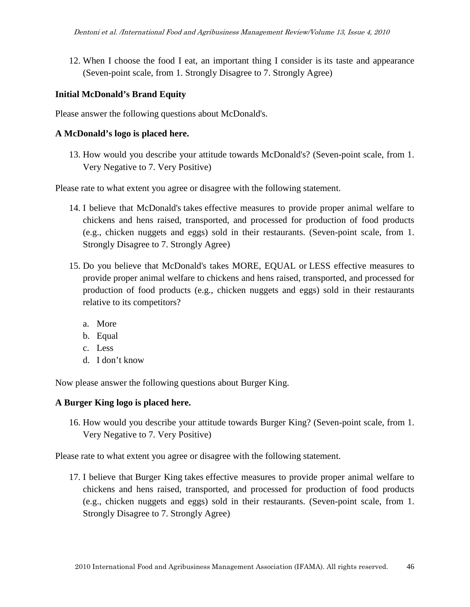12. When I choose the food I eat, an important thing I consider is its taste and appearance (Seven-point scale, from 1. Strongly Disagree to 7. Strongly Agree)

#### **Initial McDonald's Brand Equity**

Please answer the following questions about McDonald's.

#### **A McDonald's logo is placed here.**

13. How would you describe your attitude towards McDonald's? (Seven-point scale, from 1. Very Negative to 7. Very Positive)

Please rate to what extent you agree or disagree with the following statement.

- 14. I believe that McDonald's takes effective measures to provide proper animal welfare to chickens and hens raised, transported, and processed for production of food products (e.g., chicken nuggets and eggs) sold in their restaurants. (Seven-point scale, from 1. Strongly Disagree to 7. Strongly Agree)
- 15. Do you believe that McDonald's takes MORE, EQUAL or LESS effective measures to provide proper animal welfare to chickens and hens raised, transported, and processed for production of food products (e.g., chicken nuggets and eggs) sold in their restaurants relative to its competitors?
	- a. More
	- b. Equal
	- c. Less
	- d. I don't know

Now please answer the following questions about Burger King.

#### **A Burger King logo is placed here.**

16. How would you describe your attitude towards Burger King? (Seven-point scale, from 1. Very Negative to 7. Very Positive)

Please rate to what extent you agree or disagree with the following statement.

17. I believe that Burger King takes effective measures to provide proper animal welfare to chickens and hens raised, transported, and processed for production of food products (e.g., chicken nuggets and eggs) sold in their restaurants. (Seven-point scale, from 1. Strongly Disagree to 7. Strongly Agree)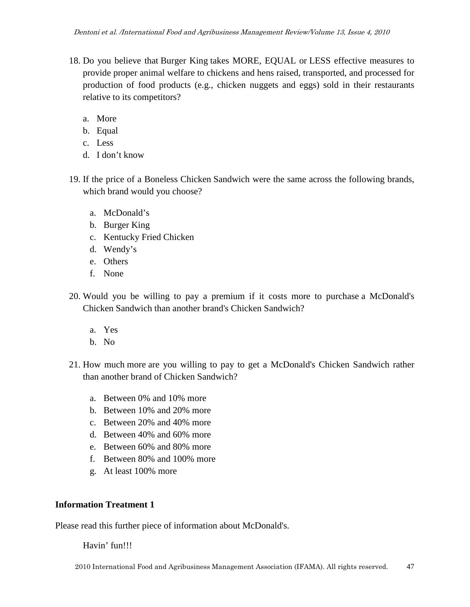- 18. Do you believe that Burger King takes MORE, EQUAL or LESS effective measures to provide proper animal welfare to chickens and hens raised, transported, and processed for production of food products (e.g., chicken nuggets and eggs) sold in their restaurants relative to its competitors?
	- a. More
	- b. Equal
	- c. Less
	- d. I don't know
- 19. If the price of a Boneless Chicken Sandwich were the same across the following brands, which brand would you choose?
	- a. McDonald's
	- b. Burger King
	- c. Kentucky Fried Chicken
	- d. Wendy's
	- e. Others
	- f. None
- 20. Would you be willing to pay a premium if it costs more to purchase a McDonald's Chicken Sandwich than another brand's Chicken Sandwich?
	- a. Yes
	- b. No
- 21. How much more are you willing to pay to get a McDonald's Chicken Sandwich rather than another brand of Chicken Sandwich?
	- a. Between 0% and 10% more
	- b. Between 10% and 20% more
	- c. Between 20% and 40% more
	- d. Between 40% and 60% more
	- e. Between 60% and 80% more
	- f. Between 80% and 100% more
	- g. At least 100% more

# **Information Treatment 1**

Please read this further piece of information about McDonald's.

Havin' fun!!!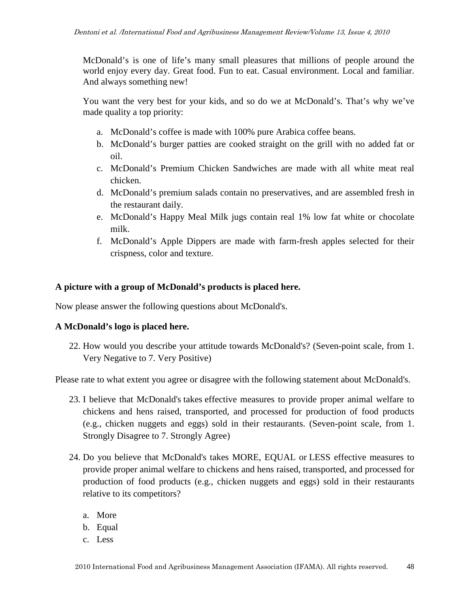McDonald's is one of life's many small pleasures that millions of people around the world enjoy every day. Great food. Fun to eat. Casual environment. Local and familiar. And always something new!

You want the very best for your kids, and so do we at McDonald's. That's why we've made quality a top priority:

- a. McDonald's coffee is made with 100% pure Arabica coffee beans.
- b. McDonald's burger patties are cooked straight on the grill with no added fat or oil.
- c. McDonald's Premium Chicken Sandwiches are made with all white meat real chicken.
- d. McDonald's premium salads contain no preservatives, and are assembled fresh in the restaurant daily.
- e. McDonald's Happy Meal Milk jugs contain real 1% low fat white or chocolate milk.
- f. McDonald's Apple Dippers are made with farm-fresh apples selected for their crispness, color and texture.

## **A picture with a group of McDonald's products is placed here.**

Now please answer the following questions about McDonald's.

## **A McDonald's logo is placed here.**

22. How would you describe your attitude towards McDonald's? (Seven-point scale, from 1. Very Negative to 7. Very Positive)

Please rate to what extent you agree or disagree with the following statement about McDonald's.

- 23. I believe that McDonald's takes effective measures to provide proper animal welfare to chickens and hens raised, transported, and processed for production of food products (e.g., chicken nuggets and eggs) sold in their restaurants. (Seven-point scale, from 1. Strongly Disagree to 7. Strongly Agree)
- 24. Do you believe that McDonald's takes MORE, EQUAL or LESS effective measures to provide proper animal welfare to chickens and hens raised, transported, and processed for production of food products (e.g., chicken nuggets and eggs) sold in their restaurants relative to its competitors?
	- a. More
	- b. Equal
	- c. Less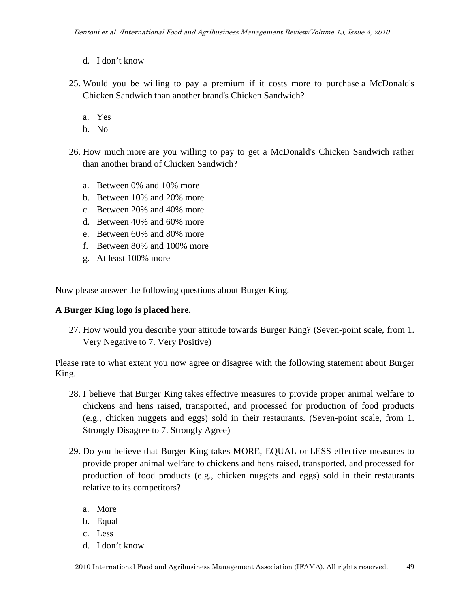- d. I don't know
- 25. Would you be willing to pay a premium if it costs more to purchase a McDonald's Chicken Sandwich than another brand's Chicken Sandwich?
	- a. Yes
	- b. No
- 26. How much more are you willing to pay to get a McDonald's Chicken Sandwich rather than another brand of Chicken Sandwich?
	- a. Between 0% and 10% more
	- b. Between 10% and 20% more
	- c. Between 20% and 40% more
	- d. Between 40% and 60% more
	- e. Between 60% and 80% more
	- f. Between 80% and 100% more
	- g. At least 100% more

Now please answer the following questions about Burger King.

## **A Burger King logo is placed here.**

27. How would you describe your attitude towards Burger King? (Seven-point scale, from 1. Very Negative to 7. Very Positive)

Please rate to what extent you now agree or disagree with the following statement about Burger King.

- 28. I believe that Burger King takes effective measures to provide proper animal welfare to chickens and hens raised, transported, and processed for production of food products (e.g., chicken nuggets and eggs) sold in their restaurants. (Seven-point scale, from 1. Strongly Disagree to 7. Strongly Agree)
- 29. Do you believe that Burger King takes MORE, EQUAL or LESS effective measures to provide proper animal welfare to chickens and hens raised, transported, and processed for production of food products (e.g., chicken nuggets and eggs) sold in their restaurants relative to its competitors?
	- a. More
	- b. Equal
	- c. Less
	- d. I don't know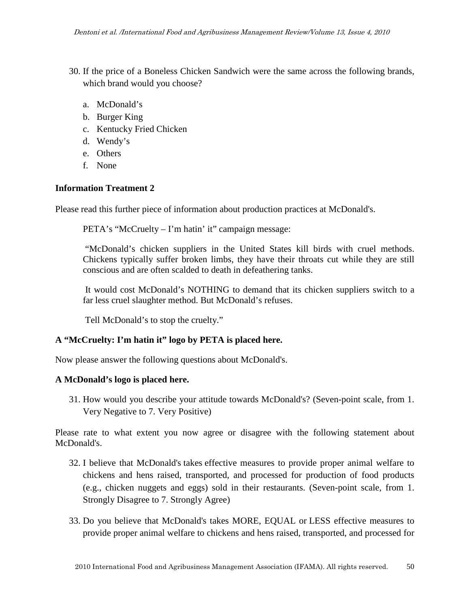- 30. If the price of a Boneless Chicken Sandwich were the same across the following brands, which brand would you choose?
	- a. McDonald's
	- b. Burger King
	- c. Kentucky Fried Chicken
	- d. Wendy's
	- e. Others
	- f. None

## **Information Treatment 2**

Please read this further piece of information about production practices at McDonald's.

PETA's "McCruelty – I'm hatin' it" campaign message:

 "McDonald's chicken suppliers in the United States kill birds with cruel methods. Chickens typically suffer broken limbs, they have their throats cut while they are still conscious and are often scalded to death in defeathering tanks.

 It would cost McDonald's NOTHING to demand that its chicken suppliers switch to a far less cruel slaughter method. But McDonald's refuses.

Tell McDonald's to stop the cruelty."

## **A "McCruelty: I'm hatin it" logo by PETA is placed here.**

Now please answer the following questions about McDonald's.

## **A McDonald's logo is placed here.**

31. How would you describe your attitude towards McDonald's? (Seven-point scale, from 1. Very Negative to 7. Very Positive)

Please rate to what extent you now agree or disagree with the following statement about McDonald's.

- 32. I believe that McDonald's takes effective measures to provide proper animal welfare to chickens and hens raised, transported, and processed for production of food products (e.g., chicken nuggets and eggs) sold in their restaurants. (Seven-point scale, from 1. Strongly Disagree to 7. Strongly Agree)
- 33. Do you believe that McDonald's takes MORE, EQUAL or LESS effective measures to provide proper animal welfare to chickens and hens raised, transported, and processed for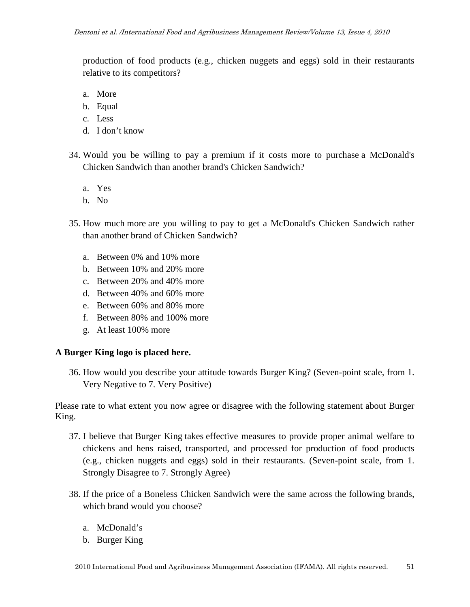production of food products (e.g., chicken nuggets and eggs) sold in their restaurants relative to its competitors?

- a. More
- b. Equal
- c. Less
- d. I don't know
- 34. Would you be willing to pay a premium if it costs more to purchase a McDonald's Chicken Sandwich than another brand's Chicken Sandwich?
	- a. Yes
	- b. No
- 35. How much more are you willing to pay to get a McDonald's Chicken Sandwich rather than another brand of Chicken Sandwich?
	- a. Between 0% and 10% more
	- b. Between 10% and 20% more
	- c. Between 20% and 40% more
	- d. Between 40% and 60% more
	- e. Between 60% and 80% more
	- f. Between 80% and 100% more
	- g. At least 100% more

## **A Burger King logo is placed here.**

36. How would you describe your attitude towards Burger King? (Seven-point scale, from 1. Very Negative to 7. Very Positive)

Please rate to what extent you now agree or disagree with the following statement about Burger King.

- 37. I believe that Burger King takes effective measures to provide proper animal welfare to chickens and hens raised, transported, and processed for production of food products (e.g., chicken nuggets and eggs) sold in their restaurants. (Seven-point scale, from 1. Strongly Disagree to 7. Strongly Agree)
- 38. If the price of a Boneless Chicken Sandwich were the same across the following brands, which brand would you choose?
	- a. McDonald's
	- b. Burger King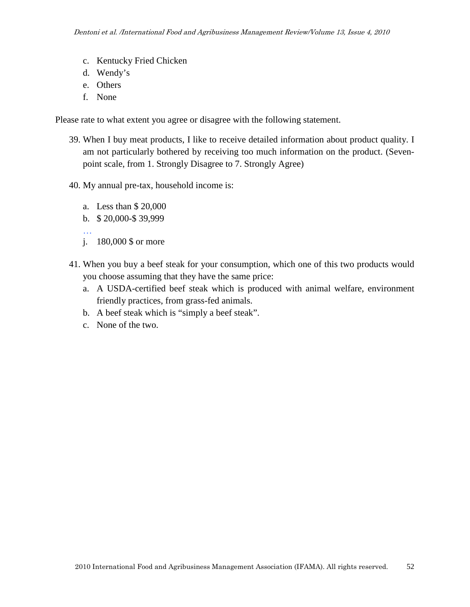- c. Kentucky Fried Chicken
- d. Wendy's
- e. Others
- f. None

Please rate to what extent you agree or disagree with the following statement.

- 39. When I buy meat products, I like to receive detailed information about product quality. I am not particularly bothered by receiving too much information on the product. (Sevenpoint scale, from 1. Strongly Disagree to 7. Strongly Agree)
- 40. My annual pre-tax, household income is:
	- a. Less than \$ 20,000
	- b. \$ 20,000-\$ 39,999
	- … j. 180,000 \$ or more
- 41. When you buy a beef steak for your consumption, which one of this two products would you choose assuming that they have the same price:
	- a. A USDA-certified beef steak which is produced with animal welfare, environment friendly practices, from grass-fed animals.
	- b. A beef steak which is "simply a beef steak".
	- c. None of the two.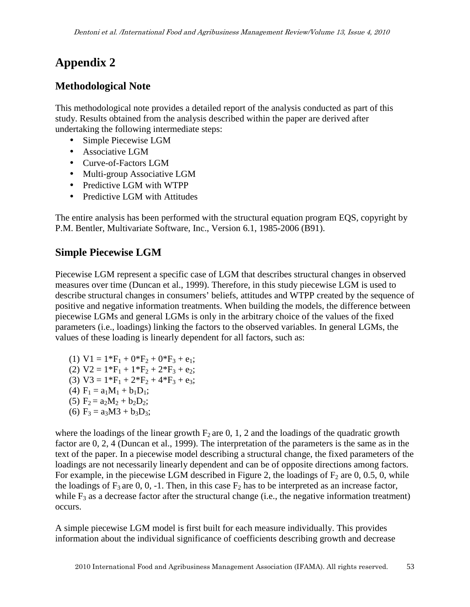# **Appendix 2**

# **Methodological Note**

This methodological note provides a detailed report of the analysis conducted as part of this study. Results obtained from the analysis described within the paper are derived after undertaking the following intermediate steps:

- Simple Piecewise LGM
- Associative LGM
- Curve-of-Factors LGM
- Multi-group Associative LGM
- Predictive LGM with WTPP
- Predictive LGM with Attitudes

The entire analysis has been performed with the structural equation program EQS, copyright by P.M. Bentler, Multivariate Software, Inc., Version 6.1, 1985-2006 (B91).

# **Simple Piecewise LGM**

Piecewise LGM represent a specific case of LGM that describes structural changes in observed measures over time (Duncan et al., 1999). Therefore, in this study piecewise LGM is used to describe structural changes in consumers' beliefs, attitudes and WTPP created by the sequence of positive and negative information treatments. When building the models, the difference between piecewise LGMs and general LGMs is only in the arbitrary choice of the values of the fixed parameters (i.e., loadings) linking the factors to the observed variables. In general LGMs, the values of these loading is linearly dependent for all factors, such as:

- (1)  $V1 = 1*F_1 + 0*F_2 + 0*F_3 + e_1;$ (2)  $V2 = 1*F_1 + 1*F_2 + 2*F_3 + e_2;$ (3)  $V3 = 1*F_1 + 2*F_2 + 4*F_3 + e_3;$ (4)  $F_1 = a_1M_1 + b_1D_1;$ (5)  $F_2 = a_2M_2 + b_2D_2;$
- (6)  $F_3 = a_3M3 + b_3D_3;$

where the loadings of the linear growth  $F_2$  are 0, 1, 2 and the loadings of the quadratic growth factor are 0, 2, 4 (Duncan et al., 1999). The interpretation of the parameters is the same as in the text of the paper. In a piecewise model describing a structural change, the fixed parameters of the loadings are not necessarily linearly dependent and can be of opposite directions among factors. For example, in the piecewise LGM described in Figure 2, the loadings of  $F_2$  are 0, 0.5, 0, while the loadings of  $F_3$  are 0, 0, -1. Then, in this case  $F_2$  has to be interpreted as an increase factor, while  $F_3$  as a decrease factor after the structural change (i.e., the negative information treatment) occurs.

A simple piecewise LGM model is first built for each measure individually. This provides information about the individual significance of coefficients describing growth and decrease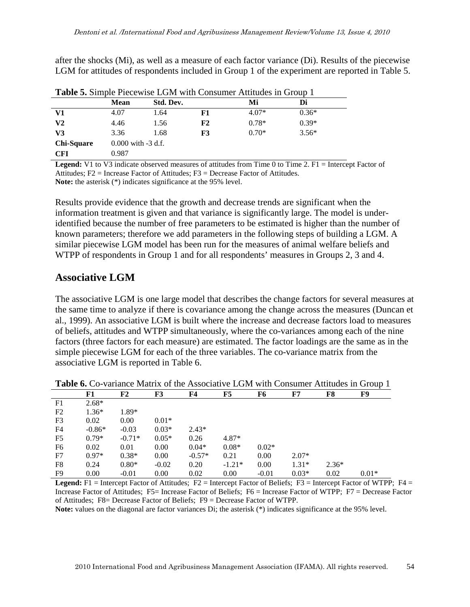after the shocks (Mi), as well as a measure of each factor variance (Di). Results of the piecewise LGM for attitudes of respondents included in Group 1 of the experiment are reported in Table 5.

|                   | <b>Mean</b> | Std. Dev.              |    | Mi      | Di      |  |  |
|-------------------|-------------|------------------------|----|---------|---------|--|--|
| V1                | 4.07        | 1.64                   | F1 | $4.07*$ | $0.36*$ |  |  |
| V2                | 4.46        | 1.56                   | F2 | $0.78*$ | $0.39*$ |  |  |
| V3                | 3.36        | 1.68                   | F3 | $0.70*$ | $3.56*$ |  |  |
| <b>Chi-Square</b> |             | $0.000$ with $-3$ d.f. |    |         |         |  |  |
| <b>CFI</b>        | 0.987       |                        |    |         |         |  |  |

**Table 5.** Simple Piecewise LGM with Consumer Attitudes in Group 1

**Legend:** V1 to V3 indicate observed measures of attitudes from Time 0 to Time 2. F1 = Intercept Factor of Attitudes; F2 = Increase Factor of Attitudes; F3 = Decrease Factor of Attitudes. **Note:** the asterisk (\*) indicates significance at the 95% level.

Results provide evidence that the growth and decrease trends are significant when the information treatment is given and that variance is significantly large. The model is underidentified because the number of free parameters to be estimated is higher than the number of known parameters; therefore we add parameters in the following steps of building a LGM. A similar piecewise LGM model has been run for the measures of animal welfare beliefs and WTPP of respondents in Group 1 and for all respondents' measures in Groups 2, 3 and 4.

# **Associative LGM**

The associative LGM is one large model that describes the change factors for several measures at the same time to analyze if there is covariance among the change across the measures (Duncan et al., 1999). An associative LGM is built where the increase and decrease factors load to measures of beliefs, attitudes and WTPP simultaneously, where the co-variances among each of the nine factors (three factors for each measure) are estimated. The factor loadings are the same as in the simple piecewise LGM for each of the three variables. The co-variance matrix from the associative LGM is reported in Table 6.

|                | F1       | F2       | F3      | F <sub>4</sub> | F5       | F6      | F7      | F8      | F9      |
|----------------|----------|----------|---------|----------------|----------|---------|---------|---------|---------|
| F1             | $2.68*$  |          |         |                |          |         |         |         |         |
| F2             | $1.36*$  | 1.89*    |         |                |          |         |         |         |         |
| F <sub>3</sub> | 0.02     | 0.00     | $0.01*$ |                |          |         |         |         |         |
| F <sub>4</sub> | $-0.86*$ | $-0.03$  | $0.03*$ | $2.43*$        |          |         |         |         |         |
| F <sub>5</sub> | $0.79*$  | $-0.71*$ | $0.05*$ | 0.26           | $4.87*$  |         |         |         |         |
| F6             | 0.02     | 0.01     | 0.00    | $0.04*$        | $0.08*$  | $0.02*$ |         |         |         |
| F7             | $0.97*$  | $0.38*$  | 0.00    | $-0.57*$       | 0.21     | 0.00    | $2.07*$ |         |         |
| F <sub>8</sub> | 0.24     | $0.80*$  | $-0.02$ | 0.20           | $-1.21*$ | 0.00    | $1.31*$ | $2.36*$ |         |
| F <sub>9</sub> | 0.00     | $-0.01$  | 0.00    | 0.02           | 0.00     | $-0.01$ | $0.03*$ | 0.02    | $0.01*$ |

**Table 6.** Co-variance Matrix of the Associative LGM with Consumer Attitudes in Group 1

**Legend:** F1 = Intercept Factor of Attitudes; F2 = Intercept Factor of Beliefs; F3 = Intercept Factor of WTPP; F4 = Increase Factor of Attitudes; F5= Increase Factor of Beliefs; F6 = Increase Factor of WTPP; F7 = Decrease Factor of Attitudes; F8= Decrease Factor of Beliefs; F9 = Decrease Factor of WTPP.

**Note:** values on the diagonal are factor variances Di; the asterisk (\*) indicates significance at the 95% level.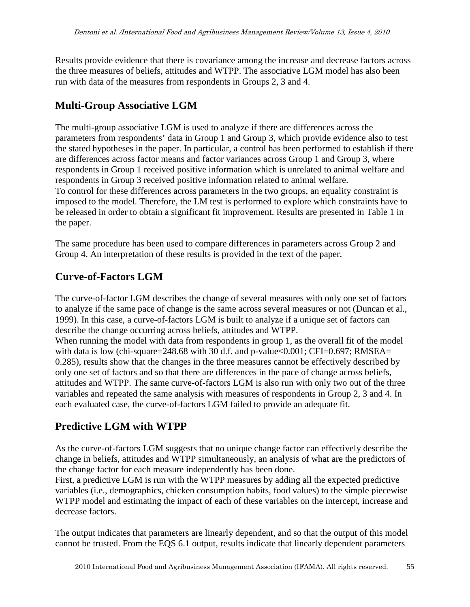Results provide evidence that there is covariance among the increase and decrease factors across the three measures of beliefs, attitudes and WTPP. The associative LGM model has also been run with data of the measures from respondents in Groups 2, 3 and 4.

# **Multi-Group Associative LGM**

The multi-group associative LGM is used to analyze if there are differences across the parameters from respondents' data in Group 1 and Group 3, which provide evidence also to test the stated hypotheses in the paper. In particular, a control has been performed to establish if there are differences across factor means and factor variances across Group 1 and Group 3, where respondents in Group 1 received positive information which is unrelated to animal welfare and respondents in Group 3 received positive information related to animal welfare. To control for these differences across parameters in the two groups, an equality constraint is imposed to the model. Therefore, the LM test is performed to explore which constraints have to be released in order to obtain a significant fit improvement. Results are presented in Table 1 in the paper.

The same procedure has been used to compare differences in parameters across Group 2 and Group 4. An interpretation of these results is provided in the text of the paper.

# **Curve-of-Factors LGM**

The curve-of-factor LGM describes the change of several measures with only one set of factors to analyze if the same pace of change is the same across several measures or not (Duncan et al., 1999). In this case, a curve-of-factors LGM is built to analyze if a unique set of factors can describe the change occurring across beliefs, attitudes and WTPP. When running the model with data from respondents in group 1, as the overall fit of the model with data is low (chi-square= $248.68$  with 30 d.f. and p-value<0.001; CFI=0.697; RMSEA= 0.285), results show that the changes in the three measures cannot be effectively described by only one set of factors and so that there are differences in the pace of change across beliefs,

attitudes and WTPP. The same curve-of-factors LGM is also run with only two out of the three variables and repeated the same analysis with measures of respondents in Group 2, 3 and 4. In each evaluated case, the curve-of-factors LGM failed to provide an adequate fit.

# **Predictive LGM with WTPP**

As the curve-of-factors LGM suggests that no unique change factor can effectively describe the change in beliefs, attitudes and WTPP simultaneously, an analysis of what are the predictors of the change factor for each measure independently has been done.

First, a predictive LGM is run with the WTPP measures by adding all the expected predictive variables (i.e., demographics, chicken consumption habits, food values) to the simple piecewise WTPP model and estimating the impact of each of these variables on the intercept, increase and decrease factors.

The output indicates that parameters are linearly dependent, and so that the output of this model cannot be trusted. From the EQS 6.1 output, results indicate that linearly dependent parameters